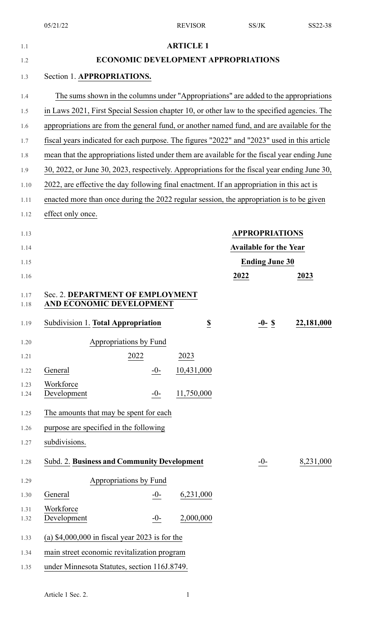| 1.1          |                                                                                              |       | <b>ARTICLE 1</b>         |                                            |            |
|--------------|----------------------------------------------------------------------------------------------|-------|--------------------------|--------------------------------------------|------------|
| 1.2          |                                                                                              |       |                          | <b>ECONOMIC DEVELOPMENT APPROPRIATIONS</b> |            |
| 1.3          | Section 1. APPROPRIATIONS.                                                                   |       |                          |                                            |            |
| 1.4          | The sums shown in the columns under "Appropriations" are added to the appropriations         |       |                          |                                            |            |
| 1.5          | in Laws 2021, First Special Session chapter 10, or other law to the specified agencies. The  |       |                          |                                            |            |
| 1.6          | appropriations are from the general fund, or another named fund, and are available for the   |       |                          |                                            |            |
| 1.7          | fiscal years indicated for each purpose. The figures "2022" and "2023" used in this article  |       |                          |                                            |            |
| 1.8          | mean that the appropriations listed under them are available for the fiscal year ending June |       |                          |                                            |            |
| 1.9          | 30, 2022, or June 30, 2023, respectively. Appropriations for the fiscal year ending June 30, |       |                          |                                            |            |
| 1.10         | 2022, are effective the day following final enactment. If an appropriation in this act is    |       |                          |                                            |            |
| 1.11         | enacted more than once during the 2022 regular session, the appropriation is to be given     |       |                          |                                            |            |
| 1.12         | effect only once.                                                                            |       |                          |                                            |            |
| 1.13         |                                                                                              |       |                          | <b>APPROPRIATIONS</b>                      |            |
| 1.14         |                                                                                              |       |                          | <b>Available for the Year</b>              |            |
| 1.15         |                                                                                              |       |                          | <b>Ending June 30</b>                      |            |
| 1.16         |                                                                                              |       |                          | 2022                                       | 2023       |
| 1.17<br>1.18 | Sec. 2. DEPARTMENT OF EMPLOYMENT<br>AND ECONOMIC DEVELOPMENT                                 |       |                          |                                            |            |
| 1.19         | Subdivision 1. Total Appropriation                                                           |       | $\underline{\mathbb{S}}$ | $-0-$ \$                                   | 22,181,000 |
| 1.20         | Appropriations by Fund                                                                       |       |                          |                                            |            |
| 1.21         | 2022                                                                                         |       | 2023                     |                                            |            |
| 1.22         | General                                                                                      | $-0-$ | 10,431,000               |                                            |            |
| 1.23         | Workforce<br>Development                                                                     | $-0-$ | 11,750,000               |                                            |            |
| 1.24         |                                                                                              |       |                          |                                            |            |
| 1.25         | The amounts that may be spent for each                                                       |       |                          |                                            |            |
| 1.26         | purpose are specified in the following                                                       |       |                          |                                            |            |
| 1.27         | subdivisions.                                                                                |       |                          |                                            |            |
| 1.28         | Subd. 2. Business and Community Development                                                  |       |                          | $-0-$                                      | 8,231,000  |
| 1.29         | Appropriations by Fund                                                                       |       |                          |                                            |            |
| 1.30         | General                                                                                      | $-0-$ | 6,231,000                |                                            |            |
| 1.31         | Workforce                                                                                    |       |                          |                                            |            |
| 1.32         | Development                                                                                  | $-0-$ | 2,000,000                |                                            |            |
| 1.33         | (a) $$4,000,000$ in fiscal year 2023 is for the                                              |       |                          |                                            |            |
| 1.34         | main street economic revitalization program                                                  |       |                          |                                            |            |
| 1.35         | under Minnesota Statutes, section 116J.8749.                                                 |       |                          |                                            |            |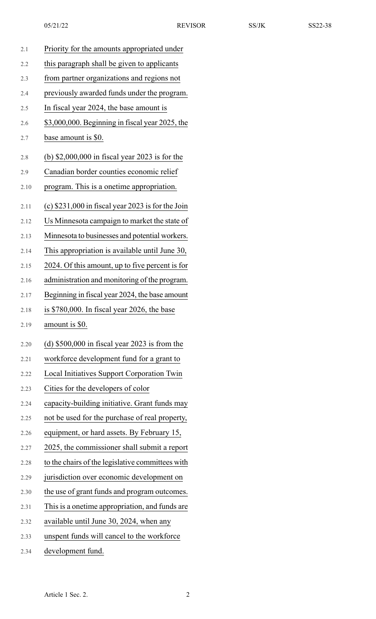| 2.1  | Priority for the amounts appropriated under        |
|------|----------------------------------------------------|
| 2.2  | this paragraph shall be given to applicants        |
| 2.3  | from partner organizations and regions not         |
| 2.4  | previously awarded funds under the program.        |
| 2.5  | In fiscal year 2024, the base amount is            |
| 2.6  | \$3,000,000. Beginning in fiscal year 2025, the    |
| 2.7  | base amount is \$0.                                |
| 2.8  | (b) $$2,000,000$ in fiscal year 2023 is for the    |
| 2.9  | Canadian border counties economic relief           |
| 2.10 | program. This is a onetime appropriation.          |
| 2.11 | (c) $$231,000$ in fiscal year 2023 is for the Join |
| 2.12 | Us Minnesota campaign to market the state of       |
| 2.13 | Minnesota to businesses and potential workers.     |
| 2.14 | This appropriation is available until June 30,     |
| 2.15 | 2024. Of this amount, up to five percent is for    |
| 2.16 | administration and monitoring of the program.      |
| 2.17 | Beginning in fiscal year 2024, the base amount     |
| 2.18 | is \$780,000. In fiscal year 2026, the base        |
| 2.19 | amount is \$0.                                     |
| 2.20 | (d) $$500,000$ in fiscal year 2023 is from the     |
| 2.21 | workforce development fund for a grant to          |
| 2.22 | Local Initiatives Support Corporation Twin         |
| 2.23 | Cities for the developers of color                 |
| 2.24 | capacity-building initiative. Grant funds may      |
| 2.25 | not be used for the purchase of real property,     |
| 2.26 | equipment, or hard assets. By February 15,         |
| 2.27 | 2025, the commissioner shall submit a report       |
| 2.28 | to the chairs of the legislative committees with   |
| 2.29 | jurisdiction over economic development on          |
| 2.30 | the use of grant funds and program outcomes.       |
| 2.31 | This is a onetime appropriation, and funds are     |
| 2.32 | available until June 30, 2024, when any            |
| 2.33 | unspent funds will cancel to the workforce         |

2.34 development fund.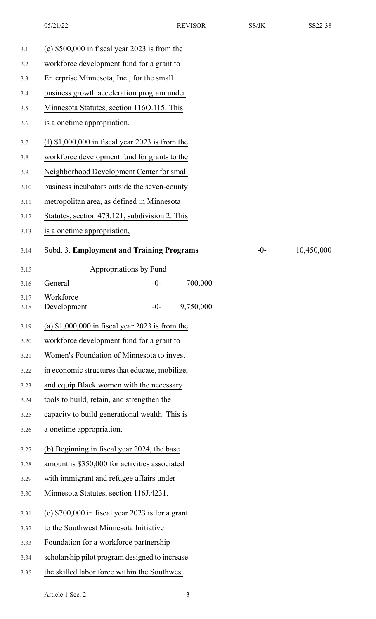| 3.1          | (e) $$500,000$ in fiscal year 2023 is from the    |       |            |
|--------------|---------------------------------------------------|-------|------------|
| 3.2          | workforce development fund for a grant to         |       |            |
| 3.3          | Enterprise Minnesota, Inc., for the small         |       |            |
| 3.4          | business growth acceleration program under        |       |            |
| 3.5          | Minnesota Statutes, section 1160.115. This        |       |            |
| 3.6          | is a onetime appropriation.                       |       |            |
| 3.7          | (f) $$1,000,000$ in fiscal year 2023 is from the  |       |            |
| 3.8          | workforce development fund for grants to the      |       |            |
| 3.9          | Neighborhood Development Center for small         |       |            |
| 3.10         | business incubators outside the seven-county      |       |            |
| 3.11         | metropolitan area, as defined in Minnesota        |       |            |
| 3.12         | Statutes, section 473.121, subdivision 2. This    |       |            |
| 3.13         | is a onetime appropriation,                       |       |            |
| 3.14         | Subd. 3. Employment and Training Programs         | $-0-$ | 10,450,000 |
| 3.15         | Appropriations by Fund                            |       |            |
| 3.16         | 700,000<br>General<br>$-0-$                       |       |            |
| 3.17<br>3.18 | Workforce<br>9,750,000<br>Development<br>$-0-$    |       |            |
| 3.19         | (a) $$1,000,000$ in fiscal year 2023 is from the  |       |            |
| 3.20         | workforce development fund for a grant to         |       |            |
| 3.21         | Women's Foundation of Minnesota to invest         |       |            |
| 3.22         | in economic structures that educate, mobilize,    |       |            |
| 3.23         | and equip Black women with the necessary          |       |            |
| 3.24         | tools to build, retain, and strengthen the        |       |            |
| 3.25         | capacity to build generational wealth. This is    |       |            |
| 3.26         | a onetime appropriation.                          |       |            |
| 3.27         | (b) Beginning in fiscal year 2024, the base       |       |            |
| 3.28         | amount is \$350,000 for activities associated     |       |            |
| 3.29         | with immigrant and refugee affairs under          |       |            |
| 3.30         | Minnesota Statutes, section 116J.4231.            |       |            |
| 3.31         | (c) $$700,000$ in fiscal year 2023 is for a grant |       |            |
| 3.32         | to the Southwest Minnesota Initiative             |       |            |
| 3.33         | Foundation for a workforce partnership            |       |            |
| 3.34         | scholarship pilot program designed to increase    |       |            |
| 3.35         | the skilled labor force within the Southwest      |       |            |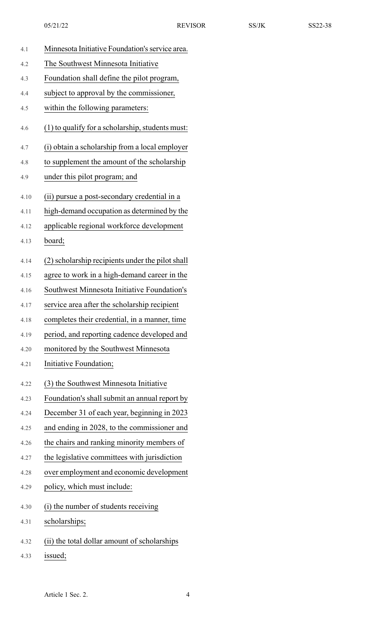| 4.1  | Minnesota Initiative Foundation's service area.  |
|------|--------------------------------------------------|
| 4.2  | The Southwest Minnesota Initiative               |
| 4.3  | Foundation shall define the pilot program,       |
| 4.4  | subject to approval by the commissioner,         |
| 4.5  | within the following parameters:                 |
| 4.6  | (1) to qualify for a scholarship, students must: |
| 4.7  | (i) obtain a scholarship from a local employer   |
| 4.8  | to supplement the amount of the scholarship      |
| 4.9  | under this pilot program; and                    |
| 4.10 | (ii) pursue a post-secondary credential in a     |
| 4.11 | high-demand occupation as determined by the      |
| 4.12 | applicable regional workforce development        |
| 4.13 | board;                                           |
| 4.14 | (2) scholarship recipients under the pilot shall |
| 4.15 | agree to work in a high-demand career in the     |
| 4.16 | Southwest Minnesota Initiative Foundation's      |
| 4.17 | service area after the scholarship recipient     |
| 4.18 | completes their credential, in a manner, time    |
| 4.19 | period, and reporting cadence developed and      |
| 4.20 | monitored by the Southwest Minnesota             |
| 4.21 | Initiative Foundation;                           |
| 4.22 | (3) the Southwest Minnesota Initiative           |
| 4.23 | Foundation's shall submit an annual report by    |
| 4.24 | December 31 of each year, beginning in 2023      |
| 4.25 | and ending in 2028, to the commissioner and      |
| 4.26 | the chairs and ranking minority members of       |
| 4.27 | the legislative committees with jurisdiction     |
| 4.28 | over employment and economic development         |
| 4.29 | policy, which must include:                      |
| 4.30 | (i) the number of students receiving             |
| 4.31 | scholarships;                                    |
| 4.32 | (ii) the total dollar amount of scholarships     |
| 4.33 | issued;                                          |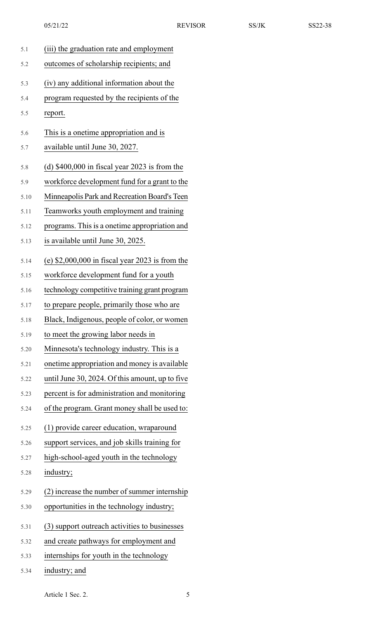| 5.1  | (iii) the graduation rate and employment         |
|------|--------------------------------------------------|
| 5.2  | outcomes of scholarship recipients; and          |
| 5.3  | (iv) any additional information about the        |
| 5.4  | program requested by the recipients of the       |
| 5.5  | report.                                          |
| 5.6  | This is a onetime appropriation and is           |
| 5.7  | available until June 30, 2027.                   |
| 5.8  | (d) $$400,000$ in fiscal year 2023 is from the   |
| 5.9  | workforce development fund for a grant to the    |
| 5.10 | Minneapolis Park and Recreation Board's Teen     |
| 5.11 | Teamworks youth employment and training          |
| 5.12 | programs. This is a onetime appropriation and    |
| 5.13 | is available until June 30, 2025.                |
| 5.14 | (e) $$2,000,000$ in fiscal year 2023 is from the |
| 5.15 | workforce development fund for a youth           |
| 5.16 | technology competitive training grant program    |
| 5.17 | to prepare people, primarily those who are       |
| 5.18 | Black, Indigenous, people of color, or women     |
| 5.19 | to meet the growing labor needs in               |
| 5.20 | Minnesota's technology industry. This is a       |
| 5.21 | onetime appropriation and money is available     |
| 5.22 | until June 30, 2024. Of this amount, up to five  |
| 5.23 | percent is for administration and monitoring     |
| 5.24 | of the program. Grant money shall be used to:    |
| 5.25 | (1) provide career education, wraparound         |
| 5.26 | support services, and job skills training for    |
| 5.27 | high-school-aged youth in the technology         |
| 5.28 | industry;                                        |
| 5.29 | (2) increase the number of summer internship     |
| 5.30 | opportunities in the technology industry;        |
| 5.31 | (3) support outreach activities to businesses    |
| 5.32 | and create pathways for employment and           |
| 5.33 | internships for youth in the technology          |
| 5.34 | industry; and                                    |

Article 1 Sec. 2. 5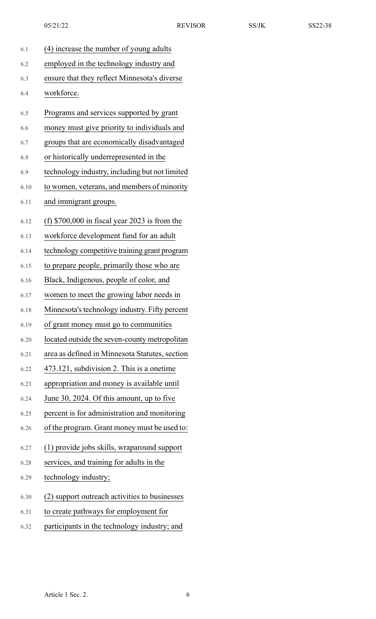| 6.1  | (4) increase the number of young adults        |
|------|------------------------------------------------|
| 6.2  | employed in the technology industry and        |
| 6.3  | ensure that they reflect Minnesota's diverse   |
| 6.4  | workforce.                                     |
| 6.5  | Programs and services supported by grant       |
| 6.6  | money must give priority to individuals and    |
| 6.7  | groups that are economically disadvantaged     |
| 6.8  | or historically underrepresented in the        |
| 6.9  | technology industry, including but not limited |
| 6.10 | to women, veterans, and members of minority    |
| 6.11 | and immigrant groups.                          |
| 6.12 | (f) $$700,000$ in fiscal year 2023 is from the |
| 6.13 | workforce development fund for an adult        |
| 6.14 | technology competitive training grant program  |
| 6.15 | to prepare people, primarily those who are     |
| 6.16 | Black, Indigenous, people of color, and        |
| 6.17 | women to meet the growing labor needs in       |
| 6.18 | Minnesota's technology industry. Fifty percent |
| 6.19 | of grant money must go to communities          |
| 6.20 | located outside the seven-county metropolitan  |
| 6.21 | area as defined in Minnesota Statutes, section |
| 6.22 | 473.121, subdivision 2. This is a onetime      |
| 6.23 | appropriation and money is available until     |
| 6.24 | June 30, 2024. Of this amount, up to five      |
| 6.25 | percent is for administration and monitoring   |
| 6.26 | of the program. Grant money must be used to:   |
| 6.27 | (1) provide jobs skills, wraparound support    |
| 6.28 | services, and training for adults in the       |
| 6.29 | technology industry;                           |
| 6.30 | (2) support outreach activities to businesses  |
| 6.31 | to create pathways for employment for          |
| 6.32 | participants in the technology industry; and   |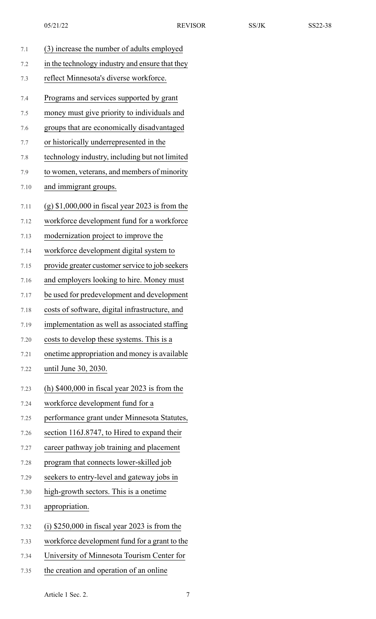| 7.1  | (3) increase the number of adults employed        |
|------|---------------------------------------------------|
| 7.2  | in the technology industry and ensure that they   |
| 7.3  | reflect Minnesota's diverse workforce.            |
| 7.4  | Programs and services supported by grant          |
| 7.5  | money must give priority to individuals and       |
| 7.6  | groups that are economically disadvantaged        |
| 7.7  | or historically underrepresented in the           |
| 7.8  | technology industry, including but not limited    |
| 7.9  | to women, veterans, and members of minority       |
| 7.10 | and immigrant groups.                             |
| 7.11 | $(g)$ \$1,000,000 in fiscal year 2023 is from the |
| 7.12 | workforce development fund for a workforce        |
| 7.13 | modernization project to improve the              |
| 7.14 | workforce development digital system to           |
| 7.15 | provide greater customer service to job seekers   |
| 7.16 | and employers looking to hire. Money must         |
| 7.17 | be used for predevelopment and development        |
| 7.18 | costs of software, digital infrastructure, and    |
| 7.19 | implementation as well as associated staffing     |
| 7.20 | costs to develop these systems. This is a         |
| 7.21 | onetime appropriation and money is available      |
| 7.22 | until June 30, 2030.                              |
| 7.23 | (h) $$400,000$ in fiscal year 2023 is from the    |
| 7.24 | workforce development fund for a                  |
| 7.25 | performance grant under Minnesota Statutes,       |
| 7.26 | section 116J.8747, to Hired to expand their       |
| 7.27 | career pathway job training and placement         |
| 7.28 | program that connects lower-skilled job           |
| 7.29 | seekers to entry-level and gateway jobs in        |
| 7.30 | high-growth sectors. This is a onetime            |
| 7.31 | appropriation.                                    |
| 7.32 | $(i)$ \$250,000 in fiscal year 2023 is from the   |
| 7.33 | workforce development fund for a grant to the     |
| 7.34 | University of Minnesota Tourism Center for        |

7.35 the creation and operation of an online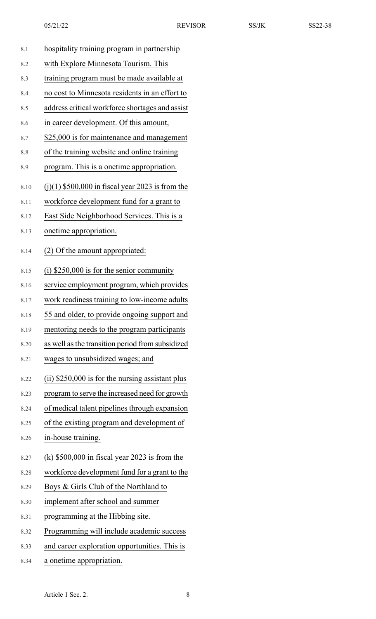| 8.1  | hospitality training program in partnership        |
|------|----------------------------------------------------|
| 8.2  | with Explore Minnesota Tourism. This               |
| 8.3  | training program must be made available at         |
| 8.4  | no cost to Minnesota residents in an effort to     |
| 8.5  | address critical workforce shortages and assist    |
| 8.6  | in career development. Of this amount,             |
| 8.7  | \$25,000 is for maintenance and management         |
| 8.8  | of the training website and online training        |
| 8.9  | program. This is a onetime appropriation.          |
| 8.10 | $(j)(1)$ \$500,000 in fiscal year 2023 is from the |
| 8.11 | workforce development fund for a grant to          |
| 8.12 | East Side Neighborhood Services. This is a         |
| 8.13 | onetime appropriation.                             |
| 8.14 | (2) Of the amount appropriated:                    |
| 8.15 | $(i)$ \$250,000 is for the senior community        |
| 8.16 | service employment program, which provides         |
| 8.17 | work readiness training to low-income adults       |
| 8.18 | 55 and older, to provide ongoing support and       |
| 8.19 | mentoring needs to the program participants        |
| 8.20 | as well as the transition period from subsidized   |
| 8.21 | wages to unsubsidized wages; and                   |
| 8.22 | $(ii)$ \$250,000 is for the nursing assistant plus |
| 8.23 | program to serve the increased need for growth     |
| 8.24 | of medical talent pipelines through expansion      |
| 8.25 | of the existing program and development of         |
| 8.26 | in-house training.                                 |
| 8.27 | $(k)$ \$500,000 in fiscal year 2023 is from the    |
| 8.28 | workforce development fund for a grant to the      |
| 8.29 | Boys & Girls Club of the Northland to              |
| 8.30 | implement after school and summer                  |
| 8.31 | programming at the Hibbing site.                   |
| 8.32 | Programming will include academic success          |
| 8.33 | and career exploration opportunities. This is      |
| 8.34 | a onetime appropriation.                           |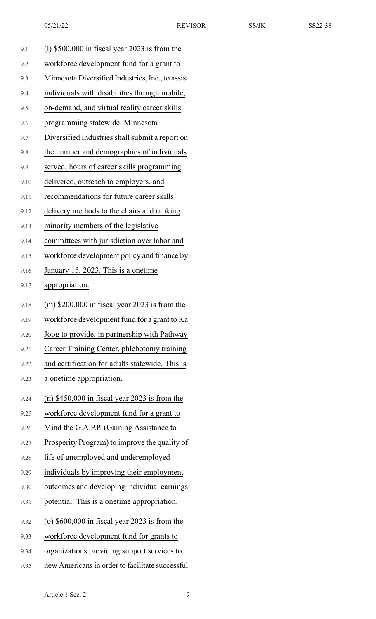| 9.1  | $(1)$ \$500,000 in fiscal year 2023 is from the   |
|------|---------------------------------------------------|
| 9.2  | workforce development fund for a grant to         |
| 9.3  | Minnesota Diversified Industries, Inc., to assist |
| 9.4  | individuals with disabilities through mobile,     |
| 9.5  | on-demand, and virtual reality career skills      |
| 9.6  | programming statewide. Minnesota                  |
| 9.7  | Diversified Industries shall submit a report on   |
| 9.8  | the number and demographics of individuals        |
| 9.9  | served, hours of career skills programming        |
| 9.10 | delivered, outreach to employers, and             |
| 9.11 | recommendations for future career skills          |
| 9.12 | delivery methods to the chairs and ranking        |
| 9.13 | minority members of the legislative               |
| 9.14 | committees with jurisdiction over labor and       |
| 9.15 | workforce development policy and finance by       |
| 9.16 | January 15, 2023. This is a onetime               |
| 9.17 | appropriation.                                    |
| 9.18 | (m) $$200,000$ in fiscal year 2023 is from the    |
| 9.19 | workforce development fund for a grant to Ka      |
| 9.20 | Joog to provide, in partnership with Pathway      |
| 9.21 | Career Training Center, phlebotomy training       |
| 9.22 | and certification for adults statewide. This is   |
| 9.23 | a onetime appropriation.                          |
| 9.24 | (n) $$450,000$ in fiscal year 2023 is from the    |
| 9.25 | workforce development fund for a grant to         |
| 9.26 | Mind the G.A.P.P. (Gaining Assistance to          |
| 9.27 | Prosperity Program) to improve the quality of     |
| 9.28 | life of unemployed and underemployed              |
| 9.29 | individuals by improving their employment         |
| 9.30 | outcomes and developing individual earnings       |
| 9.31 | potential. This is a onetime appropriation.       |
| 9.32 | (o) $$600,000$ in fiscal year 2023 is from the    |
| 9.33 | workforce development fund for grants to          |
| 9.34 | organizations providing support services to       |
| 9.35 | new Americans in order to facilitate successful   |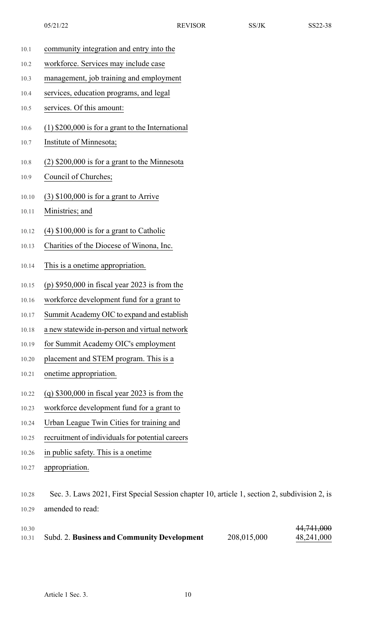- 10.1 community integration and entry into the
- 10.2 workforce. Services may include case
- 10.3 management, job training and employment
- 10.4 services, education programs, and legal
- 10.5 services. Of this amount:
- 10.6 (1) \$200,000 is for a grant to the International
- 10.7 Institute of Minnesota;
- 10.8 (2) \$200,000 is for a grant to the Minnesota
- 10.9 Council of Churches;
- 10.10 (3) \$100,000 is for a grant to Arrive
- 10.11 Ministries; and
- 10.12 (4) \$100,000 is for a grant to Catholic
- 10.13 Charities of the Diocese of Winona, Inc.
- 10.14 This is a onetime appropriation.
- 10.15 (p) \$950,000 in fiscal year 2023 is from the
- 10.16 workforce development fund for a grant to
- 10.17 Summit Academy OIC to expand and establish
- 10.18 a new statewide in-person and virtual network
- 10.19 for Summit Academy OIC's employment
- 10.20 placement and STEM program. This is a
- 10.21 onetime appropriation.
- 10.22 (q) \$300,000 in fiscal year 2023 is from the
- 10.23 workforce development fund for a grant to
- 10.24 Urban League Twin Cities for training and
- 10.25 recruitment of individuals for potential careers
- 10.26 in public safety. This is a onetime
- 10.27 appropriation.

<sup>10.28</sup> Sec. 3. Laws 2021, First Special Session chapter 10, article 1, section 2, subdivision 2, is 10.29 amended to read:

| 10.30 |                                                    |             | 44,741,000 |
|-------|----------------------------------------------------|-------------|------------|
| 10.31 | <b>Subd. 2. Business and Community Development</b> | 208,015,000 | 48,241,000 |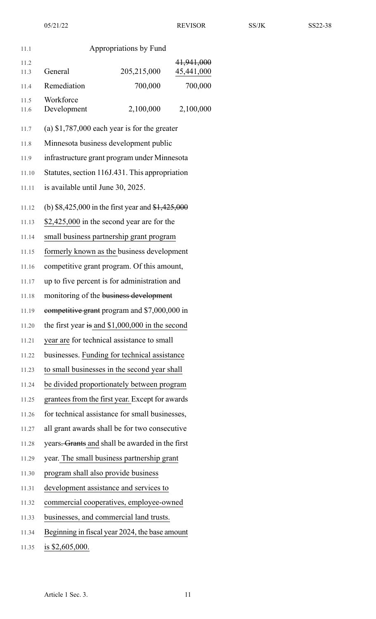| 11.1         |                                              | Appropriations by Fund                                               |                          |
|--------------|----------------------------------------------|----------------------------------------------------------------------|--------------------------|
|              |                                              |                                                                      |                          |
| 11.2<br>11.3 | General                                      | 205,215,000                                                          | 41,941,000<br>45,441,000 |
| 11.4         | Remediation                                  | 700,000                                                              | 700,000                  |
| 11.5<br>11.6 | Workforce<br>Development                     | 2,100,000                                                            | 2,100,000                |
| 11.7         |                                              | (a) $$1,787,000$ each year is for the greater                        |                          |
| 11.8         |                                              | Minnesota business development public                                |                          |
| 11.9         |                                              | infrastructure grant program under Minnesota                         |                          |
| 11.10        |                                              | Statutes, section 116J.431. This appropriation                       |                          |
| 11.11        | is available until June 30, 2025.            |                                                                      |                          |
| 11.12        |                                              | (b) \$8,425,000 in the first year and $\frac{$1,425,000}{1,425,000}$ |                          |
| 11.13        |                                              | \$2,425,000 in the second year are for the                           |                          |
| 11.14        |                                              | small business partnership grant program                             |                          |
| 11.15        |                                              | formerly known as the business development                           |                          |
| 11.16        |                                              | competitive grant program. Of this amount,                           |                          |
| 11.17        | up to five percent is for administration and |                                                                      |                          |
| 11.18        | monitoring of the business development       |                                                                      |                          |
| 11.19        | eompetitive grant program and \$7,000,000 in |                                                                      |                          |
| 11.20        |                                              | the first year is and $$1,000,000$ in the second                     |                          |
| 11.21        |                                              | year are for technical assistance to small                           |                          |
| 11.22        |                                              | businesses. Funding for technical assistance                         |                          |
| 11.23        |                                              | to small businesses in the second year shall                         |                          |
| 11.24        |                                              | be divided proportionately between program                           |                          |
| 11.25        |                                              | grantees from the first year. Except for awards                      |                          |
| 11.26        |                                              | for technical assistance for small businesses,                       |                          |
| 11.27        |                                              | all grant awards shall be for two consecutive                        |                          |
| 11.28        |                                              | years <del>. Grants</del> and shall be awarded in the first          |                          |
| 11.29        |                                              | year. The small business partnership grant                           |                          |
| 11.30        |                                              | program shall also provide business                                  |                          |
| 11.31        |                                              | development assistance and services to                               |                          |
| 11.32        |                                              | commercial cooperatives, employee-owned                              |                          |
| 11.33        |                                              | businesses, and commercial land trusts.                              |                          |
| 11.34        |                                              | Beginning in fiscal year 2024, the base amount                       |                          |

11.35 **is \$2,605,000.**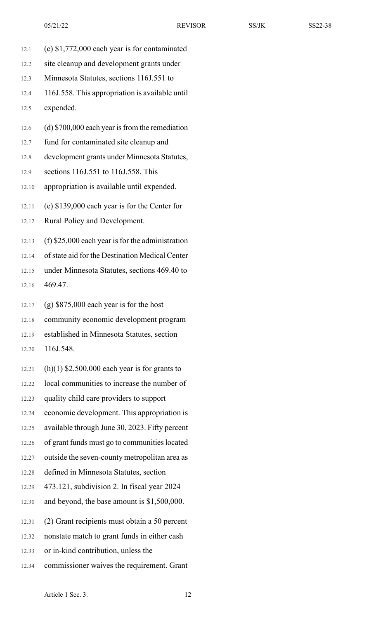- 12.1 (c) \$1,772,000 each year is for contaminated
- 12.2 site cleanup and development grants under
- 12.3 Minnesota Statutes, sections 116J.551 to

12.4 116J.558. This appropriation is available until

12.5 expended.

- 12.6 (d)  $$700,000$  each year is from the remediation
- 12.7 fund for contaminated site cleanup and
- 12.8 development grants under Minnesota Statutes,
- 12.9 sections 116J.551 to 116J.558. This
- 12.10 appropriation is available until expended.
- 12.11 (e) \$139,000 each year is for the Center for

12.12 Rural Policy and Development.

12.13 (f) \$25,000 each year is for the administration

12.14 of state aid for the Destination Medical Center

12.15 under Minnesota Statutes, sections 469.40 to 12.16 469.47.

12.17 (g) \$875,000 each year is for the host

12.18 community economic development program

12.19 established in Minnesota Statutes, section

12.20 116J.548.

- 12.21 (h)(1)  $$2,500,000$  each year is for grants to
- 12.22 local communities to increase the number of
- 12.23 quality child care providers to support
- 12.24 economic development. This appropriation is
- 12.25 available through June 30, 2023. Fifty percent
- 12.26 of grant funds must go to communities located
- 12.27 outside the seven-county metropolitan area as
- 12.28 defined in Minnesota Statutes, section
- 12.29 473.121, subdivision 2. In fiscal year 2024
- 12.30 and beyond, the base amount is \$1,500,000.
- 12.31 (2) Grant recipients must obtain a 50 percent
- 12.32 nonstate match to grant funds in either cash
- 12.33 or in-kind contribution, unless the
- 12.34 commissioner waives the requirement. Grant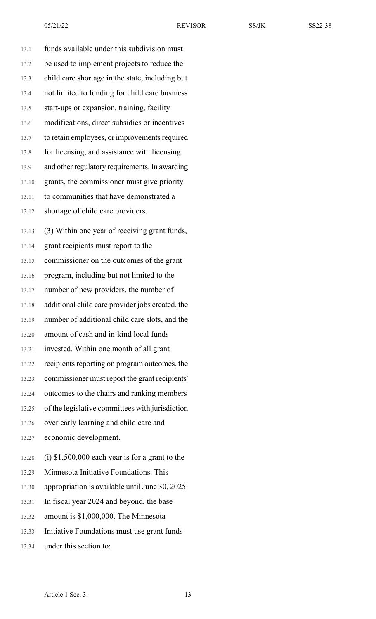| 13.1  | funds available under this subdivision must       |
|-------|---------------------------------------------------|
| 13.2  | be used to implement projects to reduce the       |
| 13.3  | child care shortage in the state, including but   |
| 13.4  | not limited to funding for child care business    |
| 13.5  | start-ups or expansion, training, facility        |
| 13.6  | modifications, direct subsidies or incentives     |
| 13.7  | to retain employees, or improvements required     |
| 13.8  | for licensing, and assistance with licensing      |
| 13.9  | and other regulatory requirements. In awarding    |
| 13.10 | grants, the commissioner must give priority       |
| 13.11 | to communities that have demonstrated a           |
| 13.12 | shortage of child care providers.                 |
| 13.13 | (3) Within one year of receiving grant funds,     |
| 13.14 | grant recipients must report to the               |
| 13.15 | commissioner on the outcomes of the grant         |
| 13.16 | program, including but not limited to the         |
| 13.17 | number of new providers, the number of            |
| 13.18 | additional child care provider jobs created, the  |
| 13.19 | number of additional child care slots, and the    |
| 13.20 | amount of cash and in-kind local funds            |
| 13.21 | invested. Within one month of all grant           |
| 13.22 | recipients reporting on program outcomes, the     |
| 13.23 | commissioner must report the grant recipients'    |
| 13.24 | outcomes to the chairs and ranking members        |
| 13.25 | of the legislative committees with jurisdiction   |
| 13.26 | over early learning and child care and            |
| 13.27 | economic development.                             |
| 13.28 | $(i)$ \$1,500,000 each year is for a grant to the |
| 13.29 | Minnesota Initiative Foundations. This            |
| 13.30 | appropriation is available until June 30, 2025.   |
| 13.31 | In fiscal year 2024 and beyond, the base          |
| 13.32 | amount is \$1,000,000. The Minnesota              |
| 13.33 | Initiative Foundations must use grant funds       |
| 13.34 | under this section to:                            |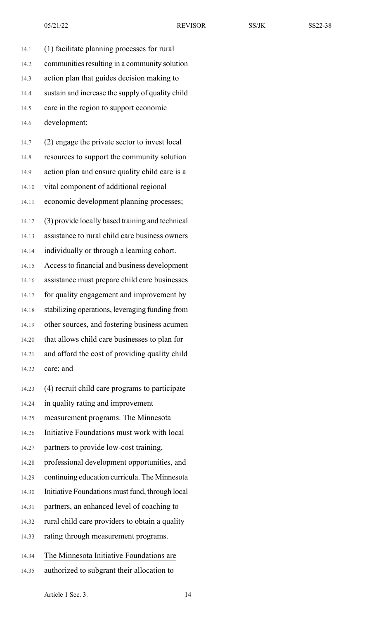14.1 (1) facilitate planning processes for rural 14.2 communities resulting in a community solution 14.3 action plan that guides decision making to 14.4 sustain and increase the supply of quality child 14.5 care in the region to support economic 14.6 development; 14.7 (2) engage the private sector to invest local 14.8 resources to support the community solution

14.9 action plan and ensure quality child care is a 14.10 vital component of additional regional 14.11 economic development planning processes;

14.12 (3) provide locally based training and technical 14.13 assistance to rural child care business owners

14.14 individually or through a learning cohort.

14.15 Accessto financial and business development 14.16 assistance must prepare child care businesses

14.17 for quality engagement and improvement by

14.18 stabilizing operations, leveraging funding from

14.19 other sources, and fostering business acumen

14.20 that allows child care businesses to plan for

14.21 and afford the cost of providing quality child 14.22 care; and

14.23 (4) recruit child care programs to participate

14.24 in quality rating and improvement

14.25 measurement programs. The Minnesota

14.26 Initiative Foundations must work with local

14.27 partners to provide low-cost training,

14.28 professional development opportunities, and

14.29 continuing education curricula. The Minnesota

14.30 Initiative Foundations must fund, through local

14.31 partners, an enhanced level of coaching to

14.32 rural child care providers to obtain a quality

14.33 rating through measurement programs.

14.34 The Minnesota Initiative Foundations are

14.35 authorized to subgrant their allocation to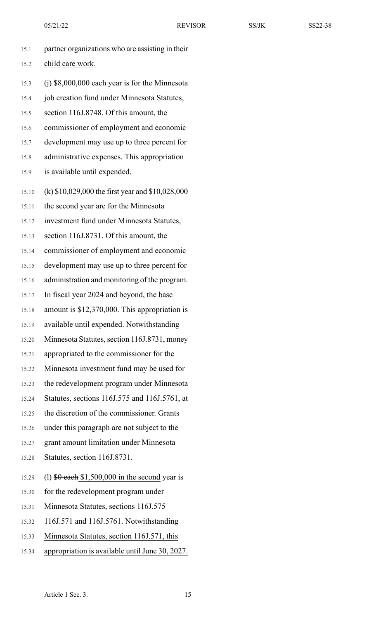| 15.1  | partner organizations who are assisting in their   |
|-------|----------------------------------------------------|
| 15.2  | child care work.                                   |
| 15.3  | $(j)$ \$8,000,000 each year is for the Minnesota   |
| 15.4  | job creation fund under Minnesota Statutes,        |
| 15.5  | section 116J.8748. Of this amount, the             |
| 15.6  | commissioner of employment and economic            |
| 15.7  | development may use up to three percent for        |
| 15.8  | administrative expenses. This appropriation        |
| 15.9  | is available until expended.                       |
| 15.10 | (k) $$10,029,000$ the first year and $$10,028,000$ |
| 15.11 | the second year are for the Minnesota              |
| 15.12 | investment fund under Minnesota Statutes,          |
| 15.13 | section 116J.8731. Of this amount, the             |
| 15.14 | commissioner of employment and economic            |
| 15.15 | development may use up to three percent for        |
| 15.16 | administration and monitoring of the program.      |
| 15.17 | In fiscal year 2024 and beyond, the base           |
| 15.18 | amount is \$12,370,000. This appropriation is      |
| 15.19 | available until expended. Notwithstanding          |
| 15.20 | Minnesota Statutes, section 116J.8731, money       |
| 15.21 | appropriated to the commissioner for the           |
| 15.22 | Minnesota investment fund may be used for          |
| 15.23 | the redevelopment program under Minnesota          |
| 15.24 | Statutes, sections 116J.575 and 116J.5761, at      |
| 15.25 | the discretion of the commissioner. Grants         |
| 15.26 | under this paragraph are not subject to the        |
| 15.27 | grant amount limitation under Minnesota            |
| 15.28 | Statutes, section 116J.8731.                       |
| 15.29 | (1) $$0$ each \$1,500,000 in the second year is    |
| 15.30 | for the redevelopment program under                |
| 15.31 | Minnesota Statutes, sections 116J.575              |
| 15.32 | 116J.571 and 116J.5761. Notwithstanding            |
| 15.33 | Minnesota Statutes, section 116J.571, this         |
| 15.34 | appropriation is available until June 30, 2027.    |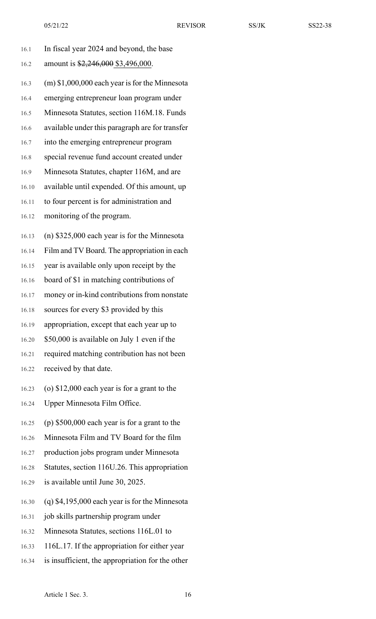| 16.1  | In fiscal year 2024 and beyond, the base         |
|-------|--------------------------------------------------|
| 16.2  | amount is \$2,246,000 \$3,496,000.               |
| 16.3  | $(m)$ \$1,000,000 each year is for the Minnesota |
| 16.4  | emerging entrepreneur loan program under         |
| 16.5  | Minnesota Statutes, section 116M.18. Funds       |
| 16.6  | available under this paragraph are for transfer  |
| 16.7  | into the emerging entrepreneur program           |
| 16.8  | special revenue fund account created under       |
| 16.9  | Minnesota Statutes, chapter 116M, and are        |
| 16.10 | available until expended. Of this amount, up     |
| 16.11 | to four percent is for administration and        |
| 16.12 | monitoring of the program.                       |
| 16.13 | (n) $$325,000$ each year is for the Minnesota    |
| 16.14 | Film and TV Board. The appropriation in each     |
| 16.15 | year is available only upon receipt by the       |
| 16.16 | board of \$1 in matching contributions of        |
| 16.17 | money or in-kind contributions from nonstate     |
| 16.18 | sources for every \$3 provided by this           |
| 16.19 | appropriation, except that each year up to       |
| 16.20 | \$50,000 is available on July 1 even if the      |
| 16.21 | required matching contribution has not been      |
| 16.22 | received by that date.                           |
| 16.23 | (o) $$12,000$ each year is for a grant to the    |
| 16.24 | Upper Minnesota Film Office.                     |
| 16.25 | (p) $$500,000$ each year is for a grant to the   |
| 16.26 | Minnesota Film and TV Board for the film         |
| 16.27 | production jobs program under Minnesota          |
| 16.28 | Statutes, section 116U.26. This appropriation    |
| 16.29 | is available until June 30, 2025.                |
| 16.30 | $(q)$ \$4,195,000 each year is for the Minnesota |
| 16.31 | job skills partnership program under             |
| 16.32 | Minnesota Statutes, sections 116L.01 to          |
| 16.33 | 116L.17. If the appropriation for either year    |
| 16.34 | is insufficient, the appropriation for the other |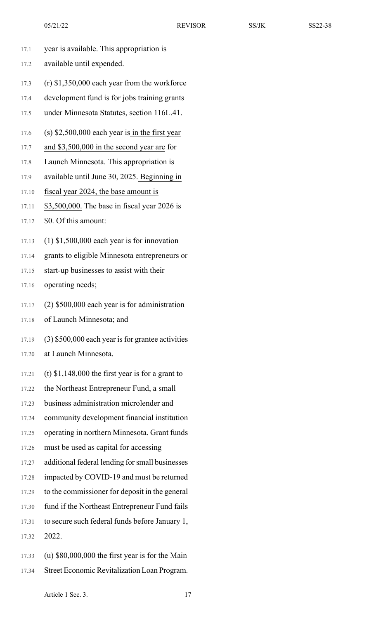- 17.1 year is available. This appropriation is
- 17.2 available until expended.
- 17.3 (r) \$1,350,000 each year from the workforce
- 17.4 development fund is for jobs training grants
- 17.5 under Minnesota Statutes, section 116L.41.
- 17.6 (s)  $$2,500,000$  each year is in the first year
- 17.7 and \$3,500,000 in the second year are for
- 17.8 Launch Minnesota. This appropriation is
- 17.9 available until June 30, 2025. Beginning in
- 17.10 fiscal year 2024, the base amount is
- 17.11 \$3,500,000. The base in fiscal year 2026 is
- 17.12 \$0. Of this amount:
- 17.13 (1) \$1,500,000 each year is for innovation
- 17.14 grants to eligible Minnesota entrepreneurs or
- 17.15 start-up businesses to assist with their
- 17.16 operating needs;
- 17.17 (2) \$500,000 each year is for administration
- 17.18 of Launch Minnesota; and
- $17.19$  (3) \$500,000 each year is for grantee activities
- 17.20 at Launch Minnesota.
- $17.21$  (t) \$1,148,000 the first year is for a grant to
- 17.22 the Northeast Entrepreneur Fund, a small
- 17.23 business administration microlender and
- 17.24 community development financial institution
- 17.25 operating in northern Minnesota. Grant funds
- 17.26 must be used as capital for accessing
- 17.27 additional federal lending for small businesses
- 17.28 impacted by COVID-19 and must be returned
- 17.29 to the commissioner for deposit in the general
- 17.30 fund if the Northeast Entrepreneur Fund fails
- 17.31 to secure such federal funds before January 1,
- 17.32 2022.
- 17.33 (u) \$80,000,000 the first year is for the Main
- 17.34 Street Economic Revitalization Loan Program.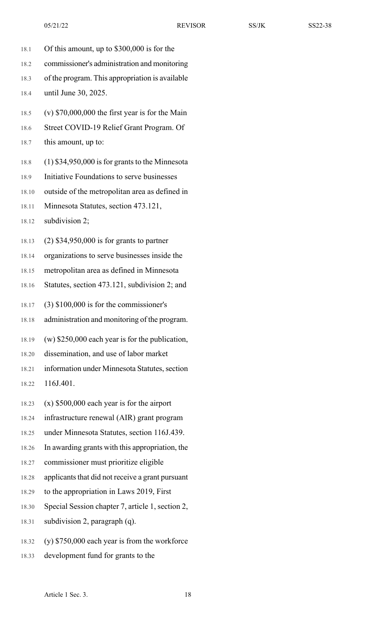- 18.1 Of this amount, up to \$300,000 is for the
- 18.2 commissioner's administration and monitoring
- 18.3 of the program. This appropriation is available
- 18.4 until June 30, 2025.
- 18.5 (v) \$70,000,000 the first year is for the Main
- 18.6 Street COVID-19 Relief Grant Program. Of

## 18.7 this amount, up to:

- 18.8 (1) \$34,950,000 is for grants to the Minnesota
- 18.9 Initiative Foundations to serve businesses
- 18.10 outside of the metropolitan area as defined in
- 18.11 Minnesota Statutes, section 473.121,
- 18.12 subdivision 2;
- 18.13 (2) \$34,950,000 is for grants to partner
- 18.14 organizations to serve businesses inside the
- 18.15 metropolitan area as defined in Minnesota
- 18.16 Statutes, section 473.121, subdivision 2; and
- 18.17 (3) \$100,000 is for the commissioner's
- 18.18 administration and monitoring of the program.
- 18.19 (w) \$250,000 each year is for the publication,
- 18.20 dissemination, and use of labor market
- 18.21 information under Minnesota Statutes, section
- 18.22 116J.401.
- 18.23 (x) \$500,000 each year is for the airport
- 18.24 infrastructure renewal (AIR) grant program
- 18.25 under Minnesota Statutes, section 116J.439.
- 18.26 In awarding grants with this appropriation, the
- 18.27 commissioner must prioritize eligible
- 18.28 applicants that did not receive a grant pursuant
- 18.29 to the appropriation in Laws 2019, First
- 18.30 Special Session chapter 7, article 1, section 2,
- 18.31 subdivision 2, paragraph (q).
- 18.32 (y) \$750,000 each year is from the workforce
- 18.33 development fund for grants to the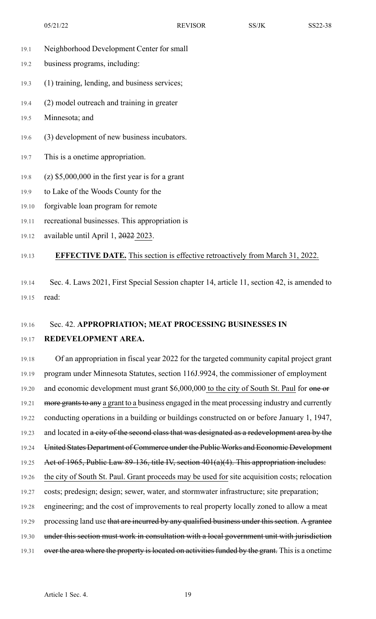- 19.1 Neighborhood Development Center for small
- 19.2 business programs, including:
- 19.3 (1) training, lending, and business services;
- 19.4 (2) model outreach and training in greater
- 19.5 Minnesota; and
- 19.6 (3) development of new business incubators.
- 19.7 This is a onetime appropriation.
- 19.8 (z) \$5,000,000 in the first year is for a grant
- 19.9 to Lake of the Woods County for the
- 19.10 forgivable loan program for remote
- 19.11 recreational businesses. This appropriation is
- 19.12 available until April 1, 2022 2023.

### 19.13 **EFFECTIVE DATE.** This section is effective retroactively from March 31, 2022.

19.14 Sec. 4. Laws 2021, First Special Session chapter 14, article 11, section 42, is amended to 19.15 read:

# 19.16 Sec. 42. **APPROPRIATION; MEAT PROCESSING BUSINESSES IN** 19.17 **REDEVELOPMENT AREA.**

19.18 Of an appropriation in fiscal year 2022 for the targeted community capital project grant 19.19 program under Minnesota Statutes, section 116J.9924, the commissioner of employment 19.20 and economic development must grant \$6,000,000 to the city of South St. Paul for one or 19.21 more grants to any a grant to a business engaged in the meat processing industry and currently 19.22 conducting operations in a building or buildings constructed on or before January 1, 1947, 19.23 and located in a city of the second class that was designated as a redevelopment area by the 19.24 United States Department of Commerce under the Public Works and Economic Development 19.25 Act of 1965, Public Law 89-136, title IV, section 401(a)(4). This appropriation includes: 19.26 the city of South St. Paul. Grant proceeds may be used for site acquisition costs; relocation 19.27 costs; predesign; design; sewer, water, and stormwater infrastructure; site preparation; 19.28 engineering; and the cost of improvements to real property locally zoned to allow a meat 19.29 processing land use that are incurred by any qualified business under this section. A grantee 19.30 under this section must work in consultation with a local government unit with jurisdiction 19.31 over the area where the property is located on activities funded by the grant. This is a onetime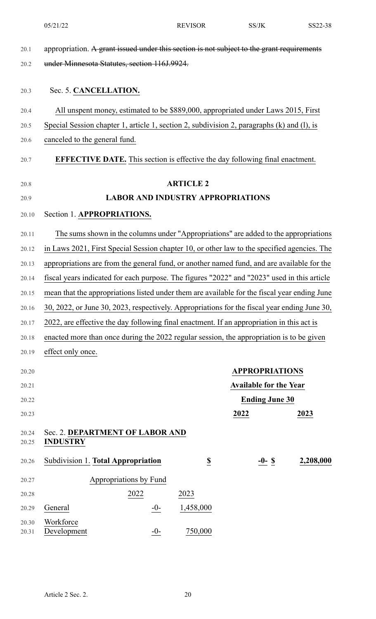20.1 appropriation. A grant issued under this section is not subject to the grant requirements 20.2 under Minnesota Statutes, section 116J.9924. 20.3 Sec. 5. **CANCELLATION.** 20.4 All unspent money, estimated to be \$889,000, appropriated under Laws 2015, First 20.5 Special Session chapter 1, article 1, section 2, subdivision 2, paragraphs (k) and (l), is 20.6 canceled to the general fund. 20.7 **EFFECTIVE DATE.** This section is effective the day following final enactment. 20.8 **ARTICLE 2** 20.9 **LABOR AND INDUSTRY APPROPRIATIONS** 20.10 Section 1. **APPROPRIATIONS.** 20.11 The sums shown in the columns under "Appropriations" are added to the appropriations 20.12 in Laws 2021, First Special Session chapter 10, or other law to the specified agencies. The 20.13 appropriations are from the general fund, or another named fund, and are available for the 20.14 fiscal years indicated for each purpose. The figures "2022" and "2023" used in this article 20.15 mean that the appropriations listed under them are available for the fiscal year ending June 20.16 30, 2022, or June 30, 2023, respectively. Appropriations for the fiscal year ending June 30, 20.17 2022, are effective the day following final enactment. If an appropriation in this act is 20.18 enacted more than once during the 2022 regular session, the appropriation is to be given 20.19 effect only once. 20.20 **APPROPRIATIONS** 20.21 **Available for the Year** 20.22 **Ending June 30** 20.23 **2022 2023** 20.24 Sec. 2. **DEPARTMENT OF LABOR AND** 20.25 **INDUSTRY** 20.26 Subdivision 1. **Total Appropriation \$ -0- \$ 2,208,000** 20.27 Appropriations by Fund 20.28 2022 2023 20.29 General -0- 1,458,000 -0- 750,000 20.30 Workforce 20.31 Development 05/21/22 REVISOR SS/JK SS22-38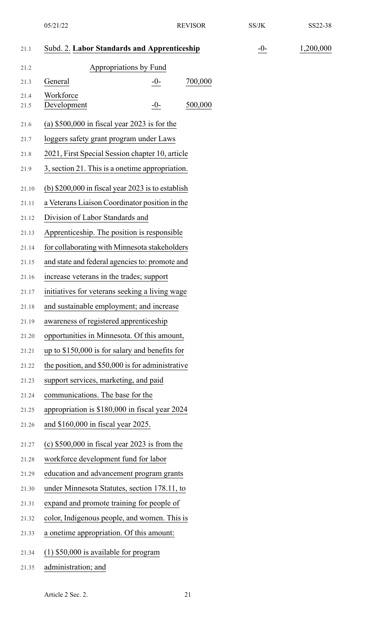| 21.1  | Subd. 2. Labor Standards and Apprenticeship        |         | $-0-$ | 1,200,000 |
|-------|----------------------------------------------------|---------|-------|-----------|
| 21.2  | Appropriations by Fund                             |         |       |           |
| 21.3  | General<br>$-0-$                                   | 700,000 |       |           |
| 21.4  | Workforce                                          |         |       |           |
| 21.5  | Development<br>$-0-$                               | 500,000 |       |           |
| 21.6  | (a) $$500,000$ in fiscal year 2023 is for the      |         |       |           |
| 21.7  | loggers safety grant program under Laws            |         |       |           |
| 21.8  | 2021, First Special Session chapter 10, article    |         |       |           |
| 21.9  | 3, section 21. This is a onetime appropriation.    |         |       |           |
| 21.10 | (b) $$200,000$ in fiscal year 2023 is to establish |         |       |           |
| 21.11 | a Veterans Liaison Coordinator position in the     |         |       |           |
| 21.12 | Division of Labor Standards and                    |         |       |           |
| 21.13 | Apprenticeship. The position is responsible        |         |       |           |
| 21.14 | for collaborating with Minnesota stakeholders      |         |       |           |
| 21.15 | and state and federal agencies to: promote and     |         |       |           |
| 21.16 | increase veterans in the trades; support           |         |       |           |
| 21.17 | initiatives for veterans seeking a living wage     |         |       |           |
| 21.18 | and sustainable employment; and increase           |         |       |           |
| 21.19 | awareness of registered apprenticeship             |         |       |           |
| 21.20 | opportunities in Minnesota. Of this amount,        |         |       |           |
| 21.21 | up to \$150,000 is for salary and benefits for     |         |       |           |
| 21.22 | the position, and \$50,000 is for administrative   |         |       |           |
| 21.23 | support services, marketing, and paid              |         |       |           |
| 21.24 | communications. The base for the                   |         |       |           |
| 21.25 | appropriation is \$180,000 in fiscal year 2024     |         |       |           |
| 21.26 | and \$160,000 in fiscal year 2025.                 |         |       |           |
| 21.27 | (c) $$500,000$ in fiscal year 2023 is from the     |         |       |           |
| 21.28 | workforce development fund for labor               |         |       |           |
| 21.29 | education and advancement program grants           |         |       |           |
| 21.30 | under Minnesota Statutes, section 178.11, to       |         |       |           |
| 21.31 | expand and promote training for people of          |         |       |           |
| 21.32 | color, Indigenous people, and women. This is       |         |       |           |
| 21.33 | a onetime appropriation. Of this amount:           |         |       |           |
| 21.34 | $(1)$ \$50,000 is available for program            |         |       |           |
| 21.35 | administration; and                                |         |       |           |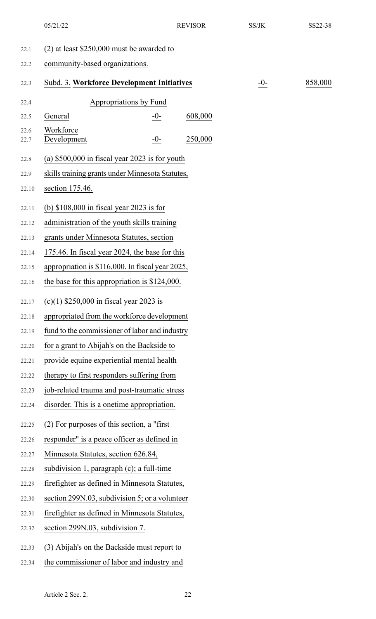|              | 05/21/22                                         |       | <b>REVISOR</b> | SS/JK | SS22-38 |
|--------------|--------------------------------------------------|-------|----------------|-------|---------|
| 22.1         | $(2)$ at least \$250,000 must be awarded to      |       |                |       |         |
| 22.2         | community-based organizations.                   |       |                |       |         |
| 22.3         | Subd. 3. Workforce Development Initiatives       |       |                | $-0-$ | 858,000 |
| 22.4         | Appropriations by Fund                           |       |                |       |         |
| 22.5         | General                                          | $-0-$ | 608,000        |       |         |
| 22.6<br>22.7 | Workforce<br>Development                         | $-0-$ | 250,000        |       |         |
| 22.8         | (a) $$500,000$ in fiscal year 2023 is for youth  |       |                |       |         |
| 22.9         | skills training grants under Minnesota Statutes, |       |                |       |         |
| 22.10        | section 175.46.                                  |       |                |       |         |
| 22.11        | (b) $$108,000$ in fiscal year 2023 is for        |       |                |       |         |
| 22.12        | administration of the youth skills training      |       |                |       |         |
| 22.13        | grants under Minnesota Statutes, section         |       |                |       |         |
| 22.14        | 175.46. In fiscal year 2024, the base for this   |       |                |       |         |
| 22.15        | appropriation is \$116,000. In fiscal year 2025, |       |                |       |         |
| 22.16        | the base for this appropriation is \$124,000.    |       |                |       |         |
| 22.17        | $(c)(1)$ \$250,000 in fiscal year 2023 is        |       |                |       |         |
| 22.18        | appropriated from the workforce development      |       |                |       |         |
| 22.19        | fund to the commissioner of labor and industry   |       |                |       |         |
| 22.20        | for a grant to Abijah's on the Backside to       |       |                |       |         |
| 22.21        | provide equine experiential mental health        |       |                |       |         |
| 22.22        | therapy to first responders suffering from       |       |                |       |         |
| 22.23        | job-related trauma and post-traumatic stress     |       |                |       |         |
| 22.24        | disorder. This is a onetime appropriation.       |       |                |       |         |
| 22.25        | (2) For purposes of this section, a "first"      |       |                |       |         |
| 22.26        | responder" is a peace officer as defined in      |       |                |       |         |
| 22.27        | Minnesota Statutes, section 626.84,              |       |                |       |         |
| 22.28        | subdivision 1, paragraph $(c)$ ; a full-time     |       |                |       |         |
| 22.29        | firefighter as defined in Minnesota Statutes,    |       |                |       |         |
| 22.30        | section 299N.03, subdivision 5; or a volunteer   |       |                |       |         |
| 22.31        | firefighter as defined in Minnesota Statutes,    |       |                |       |         |
| 22.32        | section 299N.03, subdivision 7.                  |       |                |       |         |
| 22.33        | (3) Abijah's on the Backside must report to      |       |                |       |         |
| 22.34        | the commissioner of labor and industry and       |       |                |       |         |
|              |                                                  |       |                |       |         |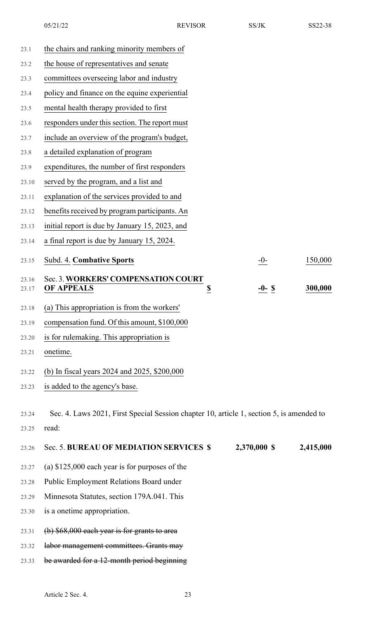23.1 the chairs and ranking minority members of

- 23.2 the house of representatives and senate
- 23.3 committees overseeing labor and industry
- 23.4 policy and finance on the equine experiential
- 23.5 mental health therapy provided to first
- 23.6 responders under this section. The report must
- 23.7 include an overview of the program's budget,
- 23.8 a detailed explanation of program
- 23.9 expenditures, the number of first responders
- 23.10 served by the program, and a list and
- 23.11 explanation of the services provided to and
- 23.12 benefits received by program participants. An
- 23.13 initial report is due by January 15, 2023, and
- 23.14 a final report is due by January 15, 2024.

| 23.15 Subd. 4. Combative Sports           | -0-      | 150,000 |
|-------------------------------------------|----------|---------|
| 23.16 Sec. 3. WORKERS' COMPENSATION COURT |          |         |
| $23.17$ OF APPEALS                        | $-0-$ \$ | 300,000 |

- 23.18 (a) This appropriation is from the workers'
- 23.19 compensation fund. Of this amount, \$100,000
- 23.20 is for rulemaking. This appropriation is
- 23.21 onetime.
- 23.22 (b) In fiscal years 2024 and 2025, \$200,000
- 23.23 is added to the agency's base.
- 23.24 Sec. 4. Laws 2021, First Special Session chapter 10, article 1, section 5, is amended to 23.25 read:
- 23.26 Sec. 5. **BUREAU OF MEDIATION SERVICES \$ 2,370,000 \$ 2,415,000**
- 23.27 (a) \$125,000 each year is for purposes of the
- 23.28 Public Employment Relations Board under
- 23.29 Minnesota Statutes, section 179A.041. This
- 23.30 is a onetime appropriation.
- $23.31$  (b)  $$68,000$  each year is for grants to area
- 23.32 labor management committees. Grants may
- 23.33 be awarded for a 12-month period beginning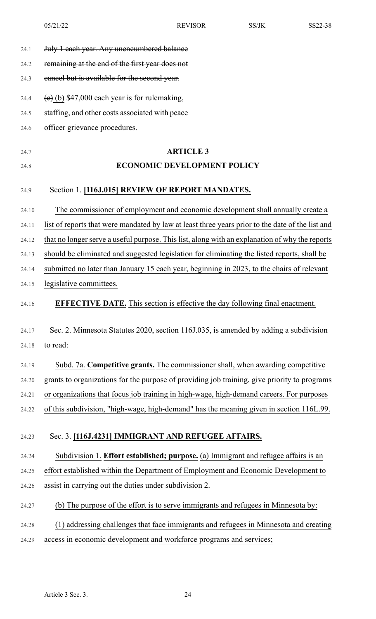| 24.1  | July 1 each year. Any unencumbered balance                                                       |
|-------|--------------------------------------------------------------------------------------------------|
| 24.2  | remaining at the end of the first year does not                                                  |
| 24.3  | eancel but is available for the second year.                                                     |
| 24.4  | $(e)$ (b) \$47,000 each year is for rulemaking,                                                  |
| 24.5  | staffing, and other costs associated with peace                                                  |
| 24.6  | officer grievance procedures.                                                                    |
| 24.7  | <b>ARTICLE 3</b>                                                                                 |
| 24.8  | <b>ECONOMIC DEVELOPMENT POLICY</b>                                                               |
| 24.9  | Section 1. [116J.015] REVIEW OF REPORT MANDATES.                                                 |
| 24.10 | The commissioner of employment and economic development shall annually create a                  |
| 24.11 | list of reports that were mandated by law at least three years prior to the date of the list and |
| 24.12 | that no longer serve a useful purpose. This list, along with an explanation of why the reports   |
| 24.13 | should be eliminated and suggested legislation for eliminating the listed reports, shall be      |
| 24.14 | submitted no later than January 15 each year, beginning in 2023, to the chairs of relevant       |
| 24.15 | legislative committees.                                                                          |
| 24.16 | <b>EFFECTIVE DATE.</b> This section is effective the day following final enactment.              |
| 24.17 | Sec. 2. Minnesota Statutes 2020, section 116J.035, is amended by adding a subdivision            |
| 24.18 | to read:                                                                                         |
| 24.19 | Subd. 7a. Competitive grants. The commissioner shall, when awarding competitive                  |
| 24.20 | grants to organizations for the purpose of providing job training, give priority to programs     |
| 24.21 | or organizations that focus job training in high-wage, high-demand careers. For purposes         |
| 24.22 | of this subdivision, "high-wage, high-demand" has the meaning given in section 116L.99.          |
| 24.23 | Sec. 3. [116J.4231] IMMIGRANT AND REFUGEE AFFAIRS.                                               |
| 24.24 | Subdivision 1. Effort established; purpose. (a) Immigrant and refugee affairs is an              |
| 24.25 | effort established within the Department of Employment and Economic Development to               |
| 24.26 | assist in carrying out the duties under subdivision 2.                                           |
| 24.27 | (b) The purpose of the effort is to serve immigrants and refugees in Minnesota by:               |
| 24.28 | (1) addressing challenges that face immigrants and refugees in Minnesota and creating            |
| 24.29 | access in economic development and workforce programs and services;                              |
|       |                                                                                                  |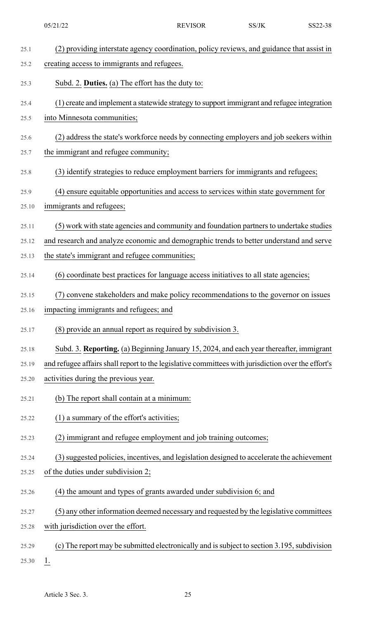|       | 05/21/22                                                                                           | <b>REVISOR</b> | SS/JK | SS22-38 |
|-------|----------------------------------------------------------------------------------------------------|----------------|-------|---------|
| 25.1  | (2) providing interstate agency coordination, policy reviews, and guidance that assist in          |                |       |         |
| 25.2  | creating access to immigrants and refugees.                                                        |                |       |         |
| 25.3  | Subd. 2. Duties. (a) The effort has the duty to:                                                   |                |       |         |
| 25.4  | (1) create and implement a statewide strategy to support immigrant and refugee integration         |                |       |         |
| 25.5  | into Minnesota communities;                                                                        |                |       |         |
| 25.6  | (2) address the state's workforce needs by connecting employers and job seekers within             |                |       |         |
| 25.7  | the immigrant and refugee community;                                                               |                |       |         |
| 25.8  | (3) identify strategies to reduce employment barriers for immigrants and refugees;                 |                |       |         |
| 25.9  | (4) ensure equitable opportunities and access to services within state government for              |                |       |         |
| 25.10 | immigrants and refugees;                                                                           |                |       |         |
| 25.11 | (5) work with state agencies and community and foundation partners to undertake studies            |                |       |         |
| 25.12 | and research and analyze economic and demographic trends to better understand and serve            |                |       |         |
| 25.13 | the state's immigrant and refugee communities;                                                     |                |       |         |
| 25.14 | (6) coordinate best practices for language access initiatives to all state agencies;               |                |       |         |
| 25.15 | convene stakeholders and make policy recommendations to the governor on issues                     |                |       |         |
| 25.16 | impacting immigrants and refugees; and                                                             |                |       |         |
| 25.17 | (8) provide an annual report as required by subdivision 3.                                         |                |       |         |
| 25.18 | Subd. 3. Reporting. (a) Beginning January 15, 2024, and each year thereafter, immigrant            |                |       |         |
| 25.19 | and refugee affairs shall report to the legislative committees with jurisdiction over the effort's |                |       |         |
| 25.20 | activities during the previous year.                                                               |                |       |         |
| 25.21 | (b) The report shall contain at a minimum:                                                         |                |       |         |
| 25.22 | (1) a summary of the effort's activities;                                                          |                |       |         |
| 25.23 | (2) immigrant and refugee employment and job training outcomes;                                    |                |       |         |
| 25.24 | (3) suggested policies, incentives, and legislation designed to accelerate the achievement         |                |       |         |
| 25.25 | of the duties under subdivision 2;                                                                 |                |       |         |
| 25.26 | (4) the amount and types of grants awarded under subdivision 6; and                                |                |       |         |
| 25.27 | (5) any other information deemed necessary and requested by the legislative committees             |                |       |         |
| 25.28 | with jurisdiction over the effort.                                                                 |                |       |         |
| 25.29 | (c) The report may be submitted electronically and is subject to section 3.195, subdivision        |                |       |         |
| 25.30 | $1_{\cdot}$                                                                                        |                |       |         |
|       |                                                                                                    |                |       |         |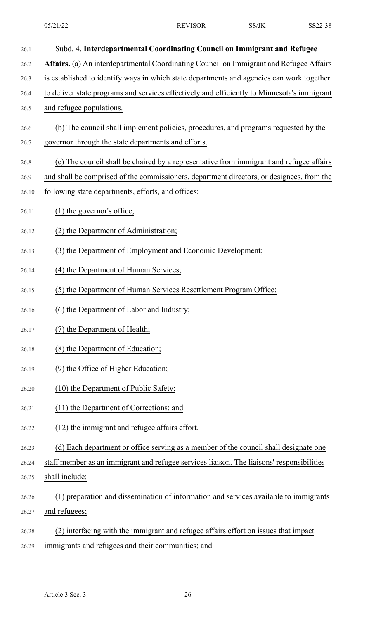| 26.1  | Subd. 4. Interdepartmental Coordinating Council on Immigrant and Refugee                    |
|-------|---------------------------------------------------------------------------------------------|
| 26.2  | Affairs. (a) An interdepartmental Coordinating Council on Immigrant and Refugee Affairs     |
| 26.3  | is established to identify ways in which state departments and agencies can work together   |
| 26.4  | to deliver state programs and services effectively and efficiently to Minnesota's immigrant |
| 26.5  | and refugee populations.                                                                    |
| 26.6  | (b) The council shall implement policies, procedures, and programs requested by the         |
| 26.7  | governor through the state departments and efforts.                                         |
| 26.8  | (c) The council shall be chaired by a representative from immigrant and refugee affairs     |
| 26.9  | and shall be comprised of the commissioners, department directors, or designees, from the   |
| 26.10 | following state departments, efforts, and offices:                                          |
| 26.11 | (1) the governor's office;                                                                  |
| 26.12 | (2) the Department of Administration;                                                       |
| 26.13 | (3) the Department of Employment and Economic Development;                                  |
| 26.14 | (4) the Department of Human Services;                                                       |
| 26.15 | (5) the Department of Human Services Resettlement Program Office;                           |
| 26.16 | (6) the Department of Labor and Industry;                                                   |
| 26.17 | (7) the Department of Health;                                                               |
| 26.18 | (8) the Department of Education;                                                            |
| 26.19 | (9) the Office of Higher Education;                                                         |
| 26.20 | (10) the Department of Public Safety;                                                       |
| 26.21 | (11) the Department of Corrections; and                                                     |
| 26.22 | (12) the immigrant and refugee affairs effort.                                              |
| 26.23 | (d) Each department or office serving as a member of the council shall designate one        |
| 26.24 | staff member as an immigrant and refugee services liaison. The liaisons' responsibilities   |
| 26.25 | shall include:                                                                              |
| 26.26 | (1) preparation and dissemination of information and services available to immigrants       |
| 26.27 | and refugees;                                                                               |
| 26.28 | interfacing with the immigrant and refugee affairs effort on issues that impact             |

26.29 immigrants and refugees and their communities; and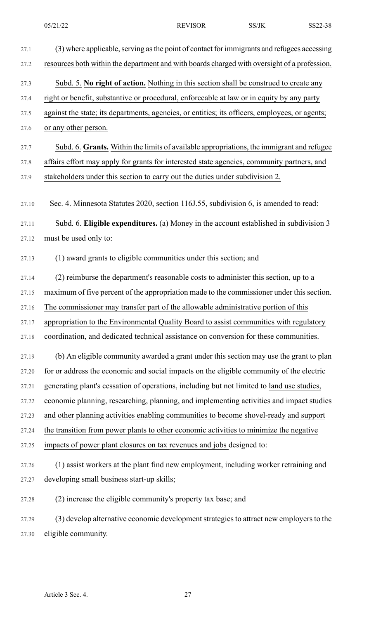| 27.1  | (3) where applicable, serving as the point of contact for immigrants and refugees accessing    |
|-------|------------------------------------------------------------------------------------------------|
| 27.2  | resources both within the department and with boards charged with oversight of a profession.   |
| 27.3  | Subd. 5. No right of action. Nothing in this section shall be construed to create any          |
| 27.4  | right or benefit, substantive or procedural, enforceable at law or in equity by any party      |
| 27.5  | against the state; its departments, agencies, or entities; its officers, employees, or agents; |
| 27.6  | or any other person.                                                                           |
| 27.7  | Subd. 6. Grants. Within the limits of available appropriations, the immigrant and refugee      |
| 27.8  | affairs effort may apply for grants for interested state agencies, community partners, and     |
| 27.9  | stakeholders under this section to carry out the duties under subdivision 2.                   |
|       |                                                                                                |
| 27.10 | Sec. 4. Minnesota Statutes 2020, section 116J.55, subdivision 6, is amended to read:           |
| 27.11 | Subd. 6. Eligible expenditures. (a) Money in the account established in subdivision 3          |
| 27.12 | must be used only to:                                                                          |
| 27.13 | (1) award grants to eligible communities under this section; and                               |
| 27.14 | (2) reimburse the department's reasonable costs to administer this section, up to a            |
| 27.15 | maximum of five percent of the appropriation made to the commissioner under this section.      |
| 27.16 | The commissioner may transfer part of the allowable administrative portion of this             |
| 27.17 | appropriation to the Environmental Quality Board to assist communities with regulatory         |
| 27.18 | coordination, and dedicated technical assistance on conversion for these communities.          |
| 27.19 | (b) An eligible community awarded a grant under this section may use the grant to plan         |
| 27.20 | for or address the economic and social impacts on the eligible community of the electric       |
| 27.21 | generating plant's cessation of operations, including but not limited to land use studies,     |
| 27.22 | economic planning, researching, planning, and implementing activities and impact studies       |
| 27.23 | and other planning activities enabling communities to become shovel-ready and support          |
| 27.24 | the transition from power plants to other economic activities to minimize the negative         |
| 27.25 | impacts of power plant closures on tax revenues and jobs designed to:                          |
| 27.26 | (1) assist workers at the plant find new employment, including worker retraining and           |
| 27.27 | developing small business start-up skills;                                                     |
| 27.28 | (2) increase the eligible community's property tax base; and                                   |
| 27.29 | (3) develop alternative economic development strategies to attract new employers to the        |
| 27.30 | eligible community.                                                                            |
|       |                                                                                                |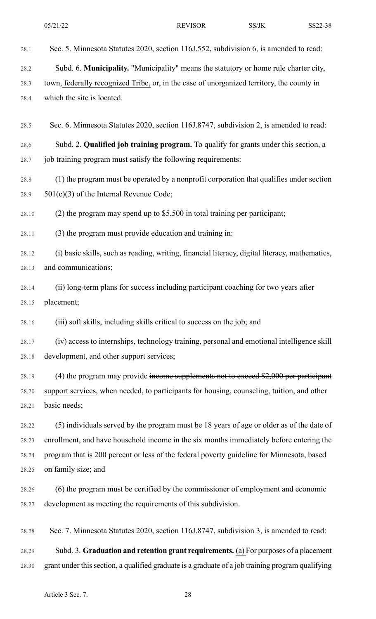- 28.1 Sec. 5. Minnesota Statutes 2020, section 116J.552, subdivision 6, is amended to read:
- 28.2 Subd. 6. **Municipality.** "Municipality" means the statutory or home rule charter city,
- 28.3 town, federally recognized Tribe, or, in the case of unorganized territory, the county in 28.4 which the site is located.
- 28.5 Sec. 6. Minnesota Statutes 2020, section 116J.8747, subdivision 2, is amended to read:
- 28.6 Subd. 2. **Qualified job training program.** To qualify for grants under this section, a 28.7 job training program must satisfy the following requirements:
- 28.8 (1) the program must be operated by a nonprofit corporation that qualifies under section 28.9  $501(c)(3)$  of the Internal Revenue Code;
- 28.10 (2) the program may spend up to \$5,500 in total training per participant;
- 28.11 (3) the program must provide education and training in:
- 28.12 (i) basic skills, such as reading, writing, financial literacy, digital literacy, mathematics, 28.13 and communications;
- 28.14 (ii) long-term plans for success including participant coaching for two years after 28.15 placement;
- 28.16 (iii) soft skills, including skills critical to success on the job; and
- 28.17 (iv) access to internships, technology training, personal and emotional intelligence skill 28.18 development, and other support services;
- 28.19 (4) the program may provide income supplements not to exceed \$2,000 per participant 28.20 support services, when needed, to participants for housing, counseling, tuition, and other 28.21 basic needs;
- 28.22 (5) individuals served by the program must be 18 years of age or older as of the date of 28.23 enrollment, and have household income in the six months immediately before entering the 28.24 program that is 200 percent or less of the federal poverty guideline for Minnesota, based 28.25 on family size; and
- 28.26 (6) the program must be certified by the commissioner of employment and economic 28.27 development as meeting the requirements of this subdivision.
- 28.28 Sec. 7. Minnesota Statutes 2020, section 116J.8747, subdivision 3, is amended to read:
- 28.29 Subd. 3. **Graduation and retention grant requirements.** (a) For purposes of a placement 28.30 grant under thissection, a qualified graduate is a graduate of a job training program qualifying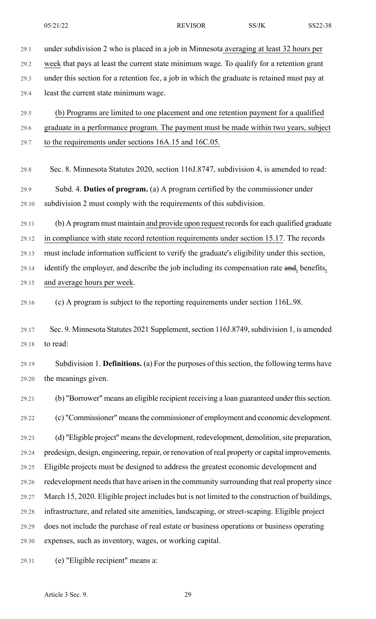29.1 under subdivision 2 who is placed in a job in Minnesota averaging at least 32 hours per 29.2 week that pays at least the current state minimum wage. To qualify for a retention grant 29.3 under this section for a retention fee, a job in which the graduate is retained must pay at 29.4 least the current state minimum wage. 29.5 (b) Programs are limited to one placement and one retention payment for a qualified 29.6 graduate in a performance program. The payment must be made within two years, subject 29.7 to the requirements under sections 16A.15 and 16C.05. 29.8 Sec. 8. Minnesota Statutes 2020, section 116J.8747, subdivision 4, is amended to read: 29.9 Subd. 4. **Duties of program.** (a) A program certified by the commissioner under 29.10 subdivision 2 must comply with the requirements of this subdivision. 29.11 (b) A program must maintain and provide upon request records for each qualified graduate 29.12 in compliance with state record retention requirements under section 15.17. The records 29.13 must include information sufficient to verify the graduate's eligibility under this section, 29.14 identify the employer, and describe the job including its compensation rate and, benefits, 29.15 and average hours per week. 29.16 (c) A program is subject to the reporting requirements under section 116L.98. 29.17 Sec. 9. Minnesota Statutes 2021 Supplement, section 116J.8749, subdivision 1, is amended 29.18 to read: 29.19 Subdivision 1. **Definitions.** (a) For the purposes of thissection, the following terms have 29.20 the meanings given. 29.21 (b) "Borrower" means an eligible recipient receiving a loan guaranteed under this section. 29.22 (c) "Commissioner" meansthe commissioner of employment and economic development. 29.23 (d) "Eligible project" meansthe development, redevelopment, demolition,site preparation, 29.24 predesign, design, engineering, repair, or renovation of real property or capital improvements. 29.25 Eligible projects must be designed to address the greatest economic development and 29.26 redevelopment needs that have arisen in the community surrounding that real property since 29.27 March 15, 2020. Eligible project includes but is not limited to the construction of buildings, 29.28 infrastructure, and related site amenities, landscaping, or street-scaping. Eligible project 29.29 does not include the purchase of real estate or business operations or business operating 29.30 expenses, such as inventory, wages, or working capital. 29.31 (e) "Eligible recipient" means a: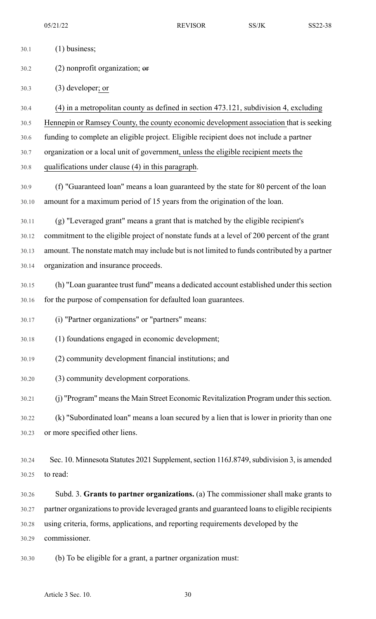| 30.1  | $(1)$ business;                                                                               |
|-------|-----------------------------------------------------------------------------------------------|
| 30.2  | $(2)$ nonprofit organization; $er$                                                            |
| 30.3  | $(3)$ developer; or                                                                           |
| 30.4  | (4) in a metropolitan county as defined in section 473.121, subdivision 4, excluding          |
| 30.5  | Hennepin or Ramsey County, the county economic development association that is seeking        |
| 30.6  | funding to complete an eligible project. Eligible recipient does not include a partner        |
| 30.7  | organization or a local unit of government, unless the eligible recipient meets the           |
| 30.8  | qualifications under clause (4) in this paragraph.                                            |
| 30.9  | (f) "Guaranteed loan" means a loan guaranteed by the state for 80 percent of the loan         |
| 30.10 | amount for a maximum period of 15 years from the origination of the loan.                     |
| 30.11 | (g) "Leveraged grant" means a grant that is matched by the eligible recipient's               |
| 30.12 | commitment to the eligible project of nonstate funds at a level of 200 percent of the grant   |
| 30.13 | amount. The nonstate match may include but is not limited to funds contributed by a partner   |
| 30.14 | organization and insurance proceeds.                                                          |
| 30.15 | (h) "Loan guarantee trust fund" means a dedicated account established under this section      |
| 30.16 | for the purpose of compensation for defaulted loan guarantees.                                |
| 30.17 | (i) "Partner organizations" or "partners" means:                                              |
| 30.18 | (1) foundations engaged in economic development;                                              |
| 30.19 | (2) community development financial institutions; and                                         |
| 30.20 | (3) community development corporations.                                                       |
| 30.21 | (j) "Program" means the Main Street Economic Revitalization Program under this section.       |
| 30.22 | (k) "Subordinated loan" means a loan secured by a lien that is lower in priority than one     |
| 30.23 | or more specified other liens.                                                                |
| 30.24 | Sec. 10. Minnesota Statutes 2021 Supplement, section 116J.8749, subdivision 3, is amended     |
| 30.25 | to read:                                                                                      |
| 30.26 | Subd. 3. Grants to partner organizations. (a) The commissioner shall make grants to           |
| 30.27 | partner organizations to provide leveraged grants and guaranteed loans to eligible recipients |
| 30.28 | using criteria, forms, applications, and reporting requirements developed by the              |
| 30.29 | commissioner.                                                                                 |
| 30.30 | (b) To be eligible for a grant, a partner organization must:                                  |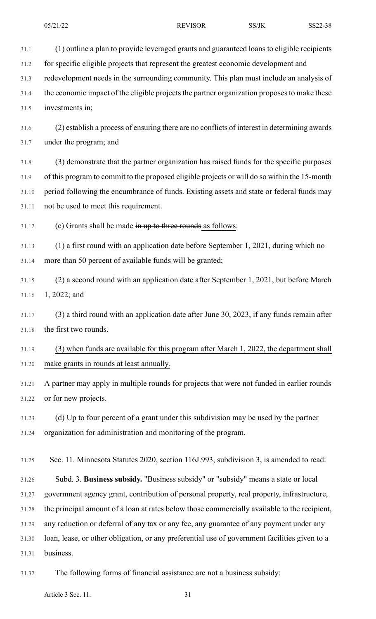31.1 (1) outline a plan to provide leveraged grants and guaranteed loans to eligible recipients 31.2 for specific eligible projects that represent the greatest economic development and

31.3 redevelopment needs in the surrounding community. This plan must include an analysis of

31.4 the economic impact of the eligible projects the partner organization proposes to make these 31.5 investments in;

31.6 (2) establish a process of ensuring there are no conflicts of interest in determining awards 31.7 under the program; and

31.8 (3) demonstrate that the partner organization has raised funds for the specific purposes 31.9 of this program to commit to the proposed eligible projects or will do so within the 15-month 31.10 period following the encumbrance of funds. Existing assets and state or federal funds may 31.11 not be used to meet this requirement.

31.12 (c) Grants shall be made in up to three rounds as follows:

31.13 (1) a first round with an application date before September 1, 2021, during which no 31.14 more than 50 percent of available funds will be granted;

31.15 (2) a second round with an application date after September 1, 2021, but before March 31.16 1, 2022; and

 $31.17$  (3) a third round with an application date after June 30, 2023, if any funds remain after 31.18 the first two rounds.

31.19 (3) when funds are available for this program after March 1, 2022, the department shall 31.20 make grants in rounds at least annually.

31.21 A partner may apply in multiple rounds for projects that were not funded in earlier rounds 31.22 or for new projects.

31.23 (d) Up to four percent of a grant under this subdivision may be used by the partner 31.24 organization for administration and monitoring of the program.

31.25 Sec. 11. Minnesota Statutes 2020, section 116J.993, subdivision 3, is amended to read:

31.26 Subd. 3. **Business subsidy.** "Business subsidy" or "subsidy" means a state or local 31.27 government agency grant, contribution of personal property, real property, infrastructure, 31.28 the principal amount of a loan at rates below those commercially available to the recipient, 31.29 any reduction or deferral of any tax or any fee, any guarantee of any payment under any 31.30 loan, lease, or other obligation, or any preferential use of government facilities given to a 31.31 business.

31.32 The following forms of financial assistance are not a business subsidy:

Article 3 Sec. 11. 31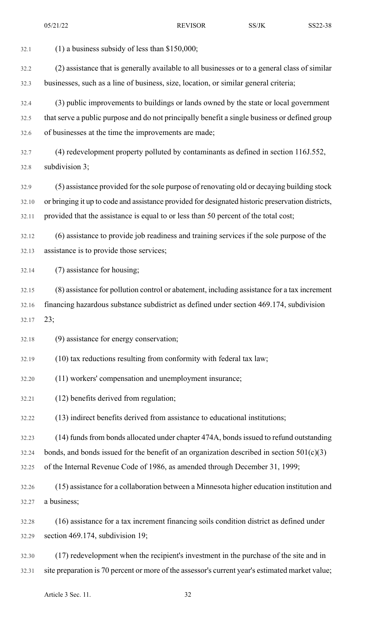32.1 (1) a business subsidy of less than \$150,000; 32.2 (2) assistance that is generally available to all businesses or to a general class of similar 32.3 businesses, such as a line of business, size, location, or similar general criteria; 32.4 (3) public improvements to buildings or lands owned by the state or local government 32.5 that serve a public purpose and do not principally benefit a single business or defined group 32.6 of businesses at the time the improvements are made; 32.7 (4) redevelopment property polluted by contaminants as defined in section 116J.552, 32.8 subdivision 3; 32.9 (5) assistance provided for the sole purpose of renovating old or decaying building stock 32.10 or bringing it up to code and assistance provided for designated historic preservation districts, 32.11 provided that the assistance is equal to or less than 50 percent of the total cost; 32.12 (6) assistance to provide job readiness and training services if the sole purpose of the 32.13 assistance is to provide those services; 32.14 (7) assistance for housing; 32.15 (8) assistance for pollution control or abatement, including assistance for a tax increment 32.16 financing hazardous substance subdistrict as defined under section 469.174, subdivision 32.17 23; 32.18 (9) assistance for energy conservation; 32.19 (10) tax reductions resulting from conformity with federal tax law; 32.20 (11) workers' compensation and unemployment insurance; 32.21 (12) benefits derived from regulation; 32.22 (13) indirect benefits derived from assistance to educational institutions; 32.23 (14) fundsfrom bonds allocated under chapter 474A, bondsissued to refund outstanding 32.24 bonds, and bonds issued for the benefit of an organization described in section  $501(c)(3)$ 32.25 of the Internal Revenue Code of 1986, as amended through December 31, 1999; 32.26 (15) assistance for a collaboration between a Minnesota higher education institution and 32.27 a business; 32.28 (16) assistance for a tax increment financing soils condition district as defined under 32.29 section 469.174, subdivision 19; 32.30 (17) redevelopment when the recipient's investment in the purchase of the site and in 32.31 site preparation is 70 percent or more of the assessor's current year's estimated market value;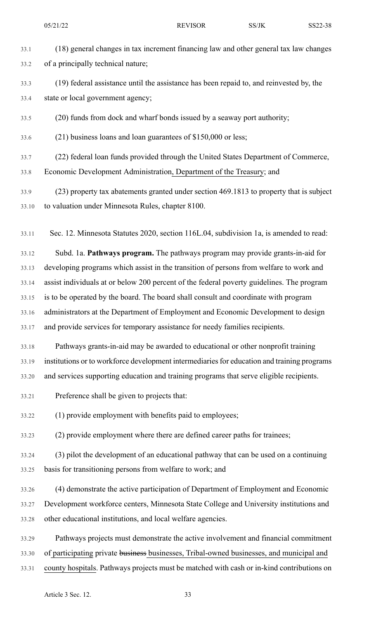| 33.1 | (18) general changes in tax increment financing law and other general tax law changes |
|------|---------------------------------------------------------------------------------------|
| 33.2 | of a principally technical nature;                                                    |

33.3 (19) federal assistance until the assistance has been repaid to, and reinvested by, the 33.4 state or local government agency;

33.5 (20) funds from dock and wharf bonds issued by a seaway port authority;

- 33.6 (21) business loans and loan guarantees of \$150,000 or less;
- 33.7 (22) federal loan funds provided through the United States Department of Commerce, 33.8 Economic Development Administration, Department of the Treasury; and
- 33.9 (23) property tax abatements granted under section 469.1813 to property that is subject 33.10 to valuation under Minnesota Rules, chapter 8100.
- 33.11 Sec. 12. Minnesota Statutes 2020, section 116L.04, subdivision 1a, is amended to read:
- 33.12 Subd. 1a. **Pathways program.** The pathways program may provide grants-in-aid for 33.13 developing programs which assist in the transition of persons from welfare to work and 33.14 assist individuals at or below 200 percent of the federal poverty guidelines. The program 33.15 is to be operated by the board. The board shall consult and coordinate with program 33.16 administrators at the Department of Employment and Economic Development to design 33.17 and provide services for temporary assistance for needy families recipients.
- 33.18 Pathways grants-in-aid may be awarded to educational or other nonprofit training 33.19 institutions or to workforce development intermediaries for education and training programs 33.20 and services supporting education and training programs that serve eligible recipients.
- 33.21 Preference shall be given to projects that:
- 33.22 (1) provide employment with benefits paid to employees;
- 33.23 (2) provide employment where there are defined career paths for trainees;
- 33.24 (3) pilot the development of an educational pathway that can be used on a continuing 33.25 basis for transitioning persons from welfare to work; and
- 33.26 (4) demonstrate the active participation of Department of Employment and Economic 33.27 Development workforce centers, Minnesota State College and University institutions and 33.28 other educational institutions, and local welfare agencies.
- 33.29 Pathways projects must demonstrate the active involvement and financial commitment 33.30 of participating private business businesses, Tribal-owned businesses, and municipal and 33.31 county hospitals. Pathways projects must be matched with cash or in-kind contributions on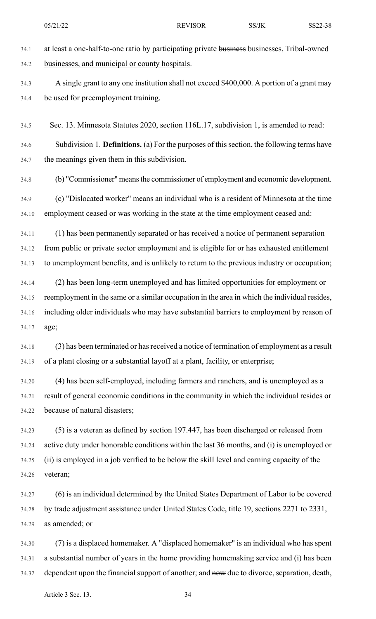34.1 at least a one-half-to-one ratio by participating private businesses businesses, Tribal-owned 34.2 businesses, and municipal or county hospitals. 34.3 A single grant to any one institution shall not exceed \$400,000. A portion of a grant may 34.4 be used for preemployment training. 34.5 Sec. 13. Minnesota Statutes 2020, section 116L.17, subdivision 1, is amended to read: 34.6 Subdivision 1. **Definitions.** (a) For the purposes of thissection, the following terms have 34.7 the meanings given them in this subdivision. 34.8 (b) "Commissioner" meansthe commissioner of employment and economic development. 34.9 (c) "Dislocated worker" means an individual who is a resident of Minnesota at the time 34.10 employment ceased or was working in the state at the time employment ceased and: 34.11 (1) has been permanently separated or has received a notice of permanent separation 34.12 from public or private sector employment and is eligible for or has exhausted entitlement 34.13 to unemployment benefits, and is unlikely to return to the previous industry or occupation; 34.14 (2) has been long-term unemployed and has limited opportunities for employment or 34.15 reemployment in the same or a similar occupation in the area in which the individual resides, 34.16 including older individuals who may have substantial barriers to employment by reason of 34.17 age; 34.18 (3) has been terminated or has received a notice of termination of employment as a result 34.19 of a plant closing or a substantial layoff at a plant, facility, or enterprise; 34.20 (4) has been self-employed, including farmers and ranchers, and is unemployed as a 34.21 result of general economic conditions in the community in which the individual resides or 34.22 because of natural disasters; 34.23 (5) is a veteran as defined by section 197.447, has been discharged or released from 34.24 active duty under honorable conditions within the last 36 months, and (i) is unemployed or 34.25 (ii) is employed in a job verified to be below the skill level and earning capacity of the 34.26 veteran; 34.27 (6) is an individual determined by the United States Department of Labor to be covered 34.28 by trade adjustment assistance under United States Code, title 19, sections 2271 to 2331, 34.29 as amended; or 34.30 (7) is a displaced homemaker. A "displaced homemaker" is an individual who has spent 34.31 a substantial number of years in the home providing homemaking service and (i) has been 05/21/22 REVISOR SS/JK SS22-38

34.32 dependent upon the financial support of another; and now due to divorce, separation, death,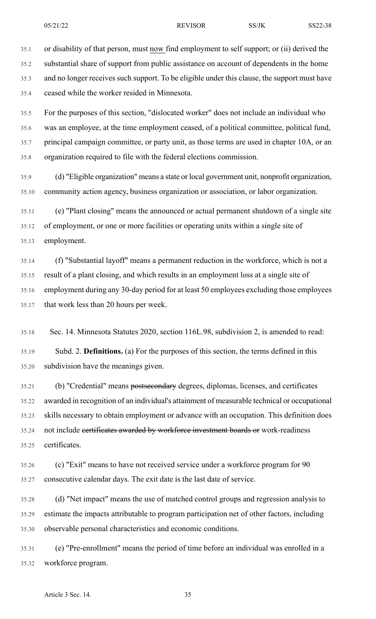35.1 or disability of that person, must now find employment to self support; or (ii) derived the

35.2 substantial share of support from public assistance on account of dependents in the home 35.3 and no longer receives such support. To be eligible under this clause, the support must have 35.4 ceased while the worker resided in Minnesota.

35.5 For the purposes of this section, "dislocated worker" does not include an individual who 35.6 was an employee, at the time employment ceased, of a political committee, political fund, 35.7 principal campaign committee, or party unit, as those terms are used in chapter 10A, or an 35.8 organization required to file with the federal elections commission.

35.9 (d) "Eligible organization" means a state or local government unit, nonprofit organization, 35.10 community action agency, business organization or association, or labor organization.

35.11 (e) "Plant closing" means the announced or actual permanent shutdown of a single site 35.12 of employment, or one or more facilities or operating units within a single site of 35.13 employment.

35.14 (f) "Substantial layoff" means a permanent reduction in the workforce, which is not a 35.15 result of a plant closing, and which results in an employment loss at a single site of 35.16 employment during any 30-day period for at least 50 employees excluding those employees 35.17 that work less than 20 hours per week.

35.18 Sec. 14. Minnesota Statutes 2020, section 116L.98, subdivision 2, is amended to read:

35.19 Subd. 2. **Definitions.** (a) For the purposes of this section, the terms defined in this 35.20 subdivision have the meanings given.

35.21 (b) "Credential" means postsecondary degrees, diplomas, licenses, and certificates 35.22 awarded in recognition of an individual's attainment of measurable technical or occupational 35.23 skills necessary to obtain employment or advance with an occupation. This definition does 35.24 not include certificates awarded by workforce investment boards or work-readiness 35.25 certificates.

35.26 (c) "Exit" means to have not received service under a workforce program for 90 35.27 consecutive calendar days. The exit date is the last date of service.

35.28 (d) "Net impact" means the use of matched control groups and regression analysis to 35.29 estimate the impacts attributable to program participation net of other factors, including 35.30 observable personal characteristics and economic conditions.

35.31 (e) "Pre-enrollment" means the period of time before an individual was enrolled in a 35.32 workforce program.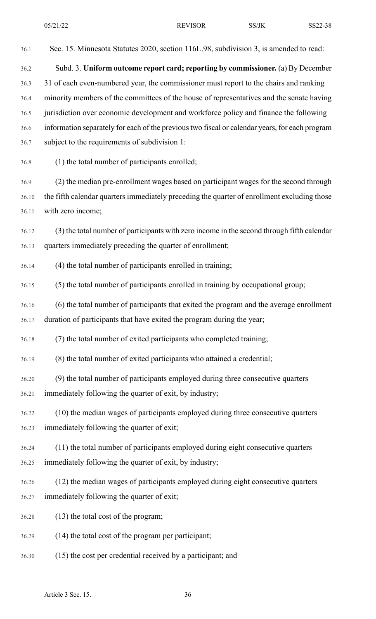36.1 Sec. 15. Minnesota Statutes 2020, section 116L.98, subdivision 3, is amended to read: 36.2 Subd. 3. **Uniform outcome report card; reporting by commissioner.** (a) By December 36.3 31 of each even-numbered year, the commissioner must report to the chairs and ranking 36.4 minority members of the committees of the house of representatives and the senate having 36.5 jurisdiction over economic development and workforce policy and finance the following 36.6 information separately for each of the previoustwo fiscal or calendar years, for each program 36.7 subject to the requirements of subdivision 1: 36.8 (1) the total number of participants enrolled; 36.9 (2) the median pre-enrollment wages based on participant wages for the second through 36.10 the fifth calendar quarters immediately preceding the quarter of enrollment excluding those 36.11 with zero income; 36.12 (3) the total number of participants with zero income in the second through fifth calendar 36.13 quarters immediately preceding the quarter of enrollment; 36.14 (4) the total number of participants enrolled in training; 36.15 (5) the total number of participants enrolled in training by occupational group; 36.16 (6) the total number of participants that exited the program and the average enrollment 36.17 duration of participants that have exited the program during the year; 36.18 (7) the total number of exited participants who completed training; 36.19 (8) the total number of exited participants who attained a credential; 36.20 (9) the total number of participants employed during three consecutive quarters 36.21 immediately following the quarter of exit, by industry; 36.22 (10) the median wages of participants employed during three consecutive quarters 36.23 immediately following the quarter of exit; 36.24 (11) the total number of participants employed during eight consecutive quarters 36.25 immediately following the quarter of exit, by industry; 36.26 (12) the median wages of participants employed during eight consecutive quarters 36.27 immediately following the quarter of exit; 36.28 (13) the total cost of the program; 36.29 (14) the total cost of the program per participant; 36.30 (15) the cost per credential received by a participant; and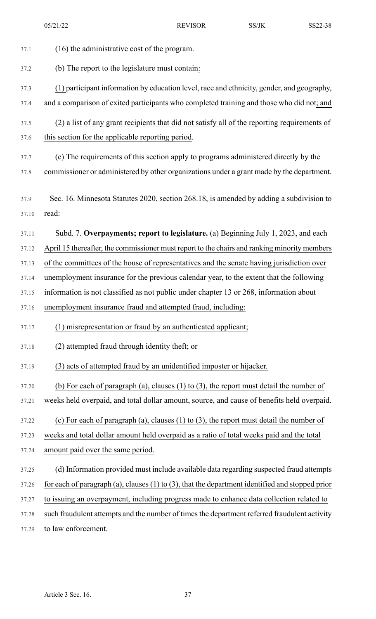| 37.1  | (16) the administrative cost of the program.                                                         |
|-------|------------------------------------------------------------------------------------------------------|
| 37.2  | (b) The report to the legislature must contain:                                                      |
| 37.3  | (1) participant information by education level, race and ethnicity, gender, and geography,           |
| 37.4  | and a comparison of exited participants who completed training and those who did not; and            |
| 37.5  | (2) a list of any grant recipients that did not satisfy all of the reporting requirements of         |
| 37.6  | this section for the applicable reporting period.                                                    |
| 37.7  | (c) The requirements of this section apply to programs administered directly by the                  |
| 37.8  | commissioner or administered by other organizations under a grant made by the department.            |
| 37.9  | Sec. 16. Minnesota Statutes 2020, section 268.18, is amended by adding a subdivision to              |
| 37.10 | read:                                                                                                |
| 37.11 | Subd. 7. Overpayments; report to legislature. (a) Beginning July 1, 2023, and each                   |
| 37.12 | April 15 thereafter, the commissioner must report to the chairs and ranking minority members         |
| 37.13 | of the committees of the house of representatives and the senate having jurisdiction over            |
| 37.14 | unemployment insurance for the previous calendar year, to the extent that the following              |
| 37.15 | information is not classified as not public under chapter 13 or 268, information about               |
| 37.16 | unemployment insurance fraud and attempted fraud, including:                                         |
| 37.17 | (1) misrepresentation or fraud by an authenticated applicant;                                        |
| 37.18 | (2) attempted fraud through identity theft; or                                                       |
| 37.19 | (3) acts of attempted fraud by an unidentified imposter or hijacker.                                 |
| 37.20 | (b) For each of paragraph (a), clauses $(1)$ to $(3)$ , the report must detail the number of         |
| 37.21 | weeks held overpaid, and total dollar amount, source, and cause of benefits held overpaid.           |
| 37.22 | (c) For each of paragraph (a), clauses $(1)$ to $(3)$ , the report must detail the number of         |
| 37.23 | weeks and total dollar amount held overpaid as a ratio of total weeks paid and the total             |
| 37.24 | amount paid over the same period.                                                                    |
| 37.25 | (d) Information provided must include available data regarding suspected fraud attempts              |
| 37.26 | for each of paragraph (a), clauses $(1)$ to $(3)$ , that the department identified and stopped prior |
| 37.27 | to issuing an overpayment, including progress made to enhance data collection related to             |
| 37.28 | such fraudulent attempts and the number of times the department referred fraudulent activity         |
| 37.29 | to law enforcement.                                                                                  |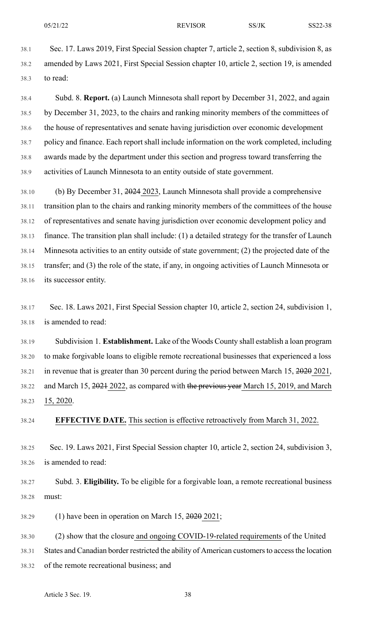38.1 Sec. 17. Laws 2019, First Special Session chapter 7, article 2, section 8, subdivision 8, as 38.2 amended by Laws 2021, First Special Session chapter 10, article 2, section 19, is amended 38.3 to read:

38.4 Subd. 8. **Report.** (a) Launch Minnesota shall report by December 31, 2022, and again 38.5 by December 31, 2023, to the chairs and ranking minority members of the committees of 38.6 the house of representatives and senate having jurisdiction over economic development 38.7 policy and finance. Each report shall include information on the work completed, including 38.8 awards made by the department under this section and progress toward transferring the 38.9 activities of Launch Minnesota to an entity outside of state government.

38.10 (b) By December 31, 2024 2023, Launch Minnesota shall provide a comprehensive 38.11 transition plan to the chairs and ranking minority members of the committees of the house 38.12 of representatives and senate having jurisdiction over economic development policy and 38.13 finance. The transition plan shall include: (1) a detailed strategy for the transfer of Launch 38.14 Minnesota activities to an entity outside of state government; (2) the projected date of the 38.15 transfer; and (3) the role of the state, if any, in ongoing activities of Launch Minnesota or 38.16 its successor entity.

38.17 Sec. 18. Laws 2021, First Special Session chapter 10, article 2, section 24, subdivision 1, 38.18 is amended to read:

38.19 Subdivision 1. **Establishment.** Lake of the Woods County shall establish a loan program 38.20 to make forgivable loans to eligible remote recreational businesses that experienced a loss 38.21 in revenue that is greater than 30 percent during the period between March 15, 2020 2021, 38.22 and March 15, 2021 2022, as compared with the previous year March 15, 2019, and March 38.23 15, 2020.

38.24 **EFFECTIVE DATE.** This section is effective retroactively from March 31, 2022.

38.25 Sec. 19. Laws 2021, First Special Session chapter 10, article 2, section 24, subdivision 3, 38.26 is amended to read:

38.27 Subd. 3. **Eligibility.** To be eligible for a forgivable loan, a remote recreational business 38.28 must:

38.29 (1) have been in operation on March 15, 2020 2021;

38.30 (2) show that the closure and ongoing COVID-19-related requirements of the United

38.31 States and Canadian border restricted the ability of American customersto accessthe location

38.32 of the remote recreational business; and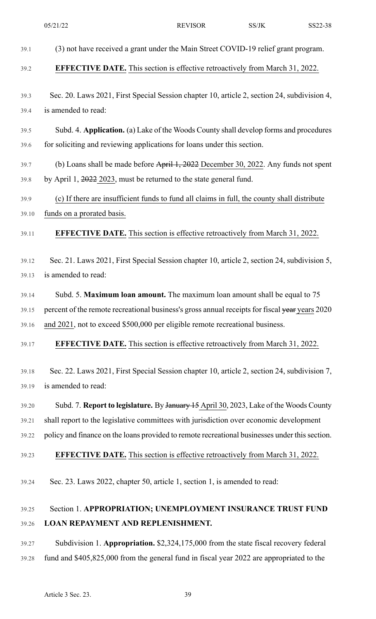|       | 05/21/22                                                                                       | <b>REVISOR</b> | SS/JK | SS22-38 |
|-------|------------------------------------------------------------------------------------------------|----------------|-------|---------|
| 39.1  | (3) not have received a grant under the Main Street COVID-19 relief grant program.             |                |       |         |
| 39.2  | <b>EFFECTIVE DATE.</b> This section is effective retroactively from March 31, 2022.            |                |       |         |
| 39.3  | Sec. 20. Laws 2021, First Special Session chapter 10, article 2, section 24, subdivision 4,    |                |       |         |
| 39.4  | is amended to read:                                                                            |                |       |         |
| 39.5  | Subd. 4. Application. (a) Lake of the Woods County shall develop forms and procedures          |                |       |         |
| 39.6  | for soliciting and reviewing applications for loans under this section.                        |                |       |         |
| 39.7  | (b) Loans shall be made before April 1, 2022 December 30, 2022. Any funds not spent            |                |       |         |
| 39.8  | by April 1, 2022 2023, must be returned to the state general fund.                             |                |       |         |
| 39.9  | (c) If there are insufficient funds to fund all claims in full, the county shall distribute    |                |       |         |
| 39.10 | funds on a prorated basis.                                                                     |                |       |         |
| 39.11 | <b>EFFECTIVE DATE.</b> This section is effective retroactively from March 31, 2022.            |                |       |         |
| 39.12 | Sec. 21. Laws 2021, First Special Session chapter 10, article 2, section 24, subdivision 5,    |                |       |         |
| 39.13 | is amended to read:                                                                            |                |       |         |
| 39.14 | Subd. 5. Maximum loan amount. The maximum loan amount shall be equal to 75                     |                |       |         |
| 39.15 | percent of the remote recreational business's gross annual receipts for fiscal year years 2020 |                |       |         |
| 39.16 | and 2021, not to exceed \$500,000 per eligible remote recreational business.                   |                |       |         |
| 39.17 | <b>EFFECTIVE DATE.</b> This section is effective retroactively from March 31, 2022.            |                |       |         |
| 39.18 | Sec. 22. Laws 2021, First Special Session chapter 10, article 2, section 24, subdivision 7,    |                |       |         |
| 39.19 | is amended to read:                                                                            |                |       |         |
| 39.20 | Subd. 7. Report to legislature. By January 15 April 30, 2023, Lake of the Woods County         |                |       |         |
| 39.21 | shall report to the legislative committees with jurisdiction over economic development         |                |       |         |
| 39.22 | policy and finance on the loans provided to remote recreational businesses under this section. |                |       |         |
| 39.23 | EFFECTIVE DATE. This section is effective retroactively from March 31, 2022.                   |                |       |         |
| 39.24 | Sec. 23. Laws 2022, chapter 50, article 1, section 1, is amended to read:                      |                |       |         |
| 39.25 | Section 1. APPROPRIATION; UNEMPLOYMENT INSURANCE TRUST FUND                                    |                |       |         |
| 39.26 | <b>LOAN REPAYMENT AND REPLENISHMENT.</b>                                                       |                |       |         |
| 39.27 | Subdivision 1. Appropriation. \$2,324,175,000 from the state fiscal recovery federal           |                |       |         |
| 39.28 | fund and \$405,825,000 from the general fund in fiscal year 2022 are appropriated to the       |                |       |         |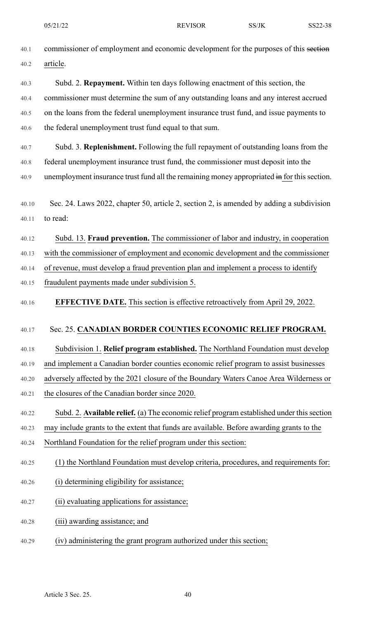| 40.1  | commissioner of employment and economic development for the purposes of this section        |
|-------|---------------------------------------------------------------------------------------------|
| 40.2  | article.                                                                                    |
| 40.3  | Subd. 2. Repayment. Within ten days following enactment of this section, the                |
| 40.4  | commissioner must determine the sum of any outstanding loans and any interest accrued       |
| 40.5  | on the loans from the federal unemployment insurance trust fund, and issue payments to      |
| 40.6  | the federal unemployment trust fund equal to that sum.                                      |
| 40.7  | Subd. 3. Replenishment. Following the full repayment of outstanding loans from the          |
| 40.8  | federal unemployment insurance trust fund, the commissioner must deposit into the           |
| 40.9  | unemployment insurance trust fund all the remaining money appropriated in for this section. |
|       |                                                                                             |
| 40.10 | Sec. 24. Laws 2022, chapter 50, article 2, section 2, is amended by adding a subdivision    |
| 40.11 | to read:                                                                                    |
| 40.12 | Subd. 13. Fraud prevention. The commissioner of labor and industry, in cooperation          |
| 40.13 | with the commissioner of employment and economic development and the commissioner           |
| 40.14 | of revenue, must develop a fraud prevention plan and implement a process to identify        |
| 40.15 | fraudulent payments made under subdivision 5.                                               |
| 40.16 | <b>EFFECTIVE DATE.</b> This section is effective retroactively from April 29, 2022.         |
|       |                                                                                             |
| 40.17 | Sec. 25. CANADIAN BORDER COUNTIES ECONOMIC RELIEF PROGRAM.                                  |
| 40.18 | Subdivision 1. Relief program established. The Northland Foundation must develop            |
| 40.19 | and implement a Canadian border counties economic relief program to assist businesses       |
| 40.20 | adversely affected by the 2021 closure of the Boundary Waters Canoe Area Wilderness or      |
| 40.21 | the closures of the Canadian border since 2020.                                             |
| 40.22 | Subd. 2. Available relief. (a) The economic relief program established under this section   |
| 40.23 | may include grants to the extent that funds are available. Before awarding grants to the    |
| 40.24 | Northland Foundation for the relief program under this section:                             |
| 40.25 | (1) the Northland Foundation must develop criteria, procedures, and requirements for:       |
| 40.26 | (i) determining eligibility for assistance;                                                 |
| 40.27 | (ii) evaluating applications for assistance;                                                |
| 40.28 | (iii) awarding assistance; and                                                              |
| 40.29 | (iv) administering the grant program authorized under this section;                         |
|       |                                                                                             |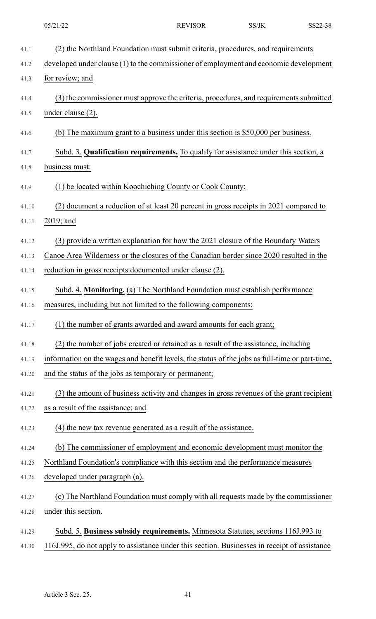| 41.1  | (2) the Northland Foundation must submit criteria, procedures, and requirements                |
|-------|------------------------------------------------------------------------------------------------|
| 41.2  | developed under clause (1) to the commissioner of employment and economic development          |
| 41.3  | for review; and                                                                                |
| 41.4  | (3) the commissioner must approve the criteria, procedures, and requirements submitted         |
| 41.5  | under clause (2).                                                                              |
| 41.6  | (b) The maximum grant to a business under this section is \$50,000 per business.               |
| 41.7  | Subd. 3. Qualification requirements. To qualify for assistance under this section, a           |
| 41.8  | business must:                                                                                 |
| 41.9  | (1) be located within Koochiching County or Cook County;                                       |
| 41.10 | (2) document a reduction of at least 20 percent in gross receipts in 2021 compared to          |
| 41.11 | 2019; and                                                                                      |
| 41.12 | (3) provide a written explanation for how the 2021 closure of the Boundary Waters              |
| 41.13 | Canoe Area Wilderness or the closures of the Canadian border since 2020 resulted in the        |
| 41.14 | reduction in gross receipts documented under clause (2).                                       |
| 41.15 | Subd. 4. Monitoring. (a) The Northland Foundation must establish performance                   |
| 41.16 | measures, including but not limited to the following components:                               |
| 41.17 | (1) the number of grants awarded and award amounts for each grant;                             |
| 41.18 | (2) the number of jobs created or retained as a result of the assistance, including            |
| 41.19 | information on the wages and benefit levels, the status of the jobs as full-time or part-time, |
| 41.20 | and the status of the jobs as temporary or permanent;                                          |
| 41.21 | (3) the amount of business activity and changes in gross revenues of the grant recipient       |
| 41.22 | as a result of the assistance; and                                                             |
| 41.23 | (4) the new tax revenue generated as a result of the assistance.                               |
| 41.24 | (b) The commissioner of employment and economic development must monitor the                   |
| 41.25 | Northland Foundation's compliance with this section and the performance measures               |
| 41.26 | developed under paragraph (a).                                                                 |
| 41.27 | (c) The Northland Foundation must comply with all requests made by the commissioner            |
| 41.28 | under this section.                                                                            |
| 41.29 | Subd. 5. Business subsidy requirements. Minnesota Statutes, sections 116J.993 to               |
| 41.30 | 116J.995, do not apply to assistance under this section. Businesses in receipt of assistance   |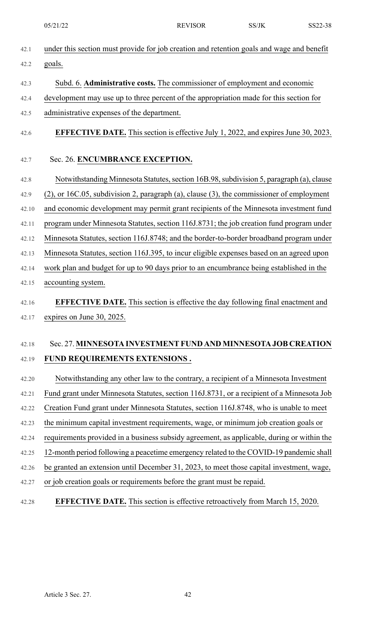- 42.1 under this section must provide for job creation and retention goals and wage and benefit 42.2 goals.
- 42.3 Subd. 6. **Administrative costs.** The commissioner of employment and economic
- 42.4 development may use up to three percent of the appropriation made for this section for
- 42.5 administrative expenses of the department.
- 42.6 **EFFECTIVE DATE.** This section is effective July 1, 2022, and expires June 30, 2023.

## 42.7 Sec. 26. **ENCUMBRANCE EXCEPTION.**

- 42.8 Notwithstanding Minnesota Statutes, section 16B.98, subdivision 5, paragraph (a), clause 42.9 (2), or 16C.05, subdivision 2, paragraph (a), clause (3), the commissioner of employment 42.10 and economic development may permit grant recipients of the Minnesota investment fund 42.11 program under Minnesota Statutes, section 116J.8731; the job creation fund program under 42.12 Minnesota Statutes, section 116J.8748; and the border-to-border broadband program under 42.13 Minnesota Statutes, section 116J.395, to incur eligible expenses based on an agreed upon 42.14 work plan and budget for up to 90 days prior to an encumbrance being established in the 42.15 accounting system.
- 42.16 **EFFECTIVE DATE.** This section is effective the day following final enactment and 42.17 expires on June 30, 2025.

# 42.18 Sec. 27. **MINNESOTA INVESTMENTFUND AND MINNESOTA JOB CREATION** 42.19 **FUND REQUIREMENTS EXTENSIONS .**

- 42.20 Notwithstanding any other law to the contrary, a recipient of a Minnesota Investment 42.21 Fund grant under Minnesota Statutes, section 116J.8731, or a recipient of a Minnesota Job 42.22 Creation Fund grant under Minnesota Statutes, section 116J.8748, who is unable to meet 42.23 the minimum capital investment requirements, wage, or minimum job creation goals or 42.24 requirements provided in a business subsidy agreement, as applicable, during or within the 42.25 12-month period following a peacetime emergency related to the COVID-19 pandemic shall 42.26 be granted an extension until December 31, 2023, to meet those capital investment, wage, 42.27 or job creation goals or requirements before the grant must be repaid.
- 42.28 **EFFECTIVE DATE.** This section is effective retroactively from March 15, 2020.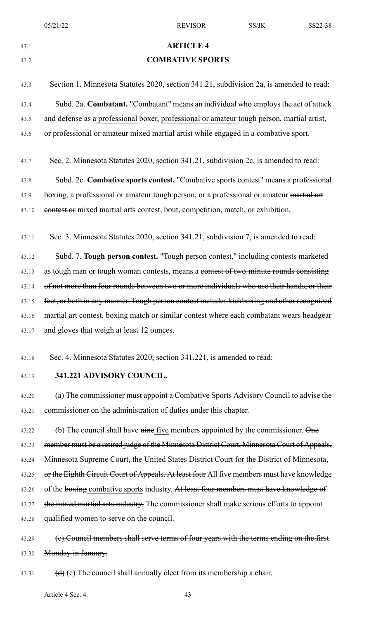### 43.1 **ARTICLE 4**

### 43.2 **COMBATIVE SPORTS**

43.3 Section 1. Minnesota Statutes 2020, section 341.21, subdivision 2a, is amended to read: 43.4 Subd. 2a. **Combatant.** "Combatant" means an individual who employs the act of attack 43.5 and defense as a professional boxer, professional or amateur tough person, martial artist, 43.6 or professional or amateur mixed martial artist while engaged in a combative sport.

43.7 Sec. 2. Minnesota Statutes 2020, section 341.21, subdivision 2c, is amended to read:

43.8 Subd. 2c. **Combative sports contest.** "Combative sports contest" means a professional 43.9 boxing, a professional or amateur tough person, or a professional or amateur martial art 43.10 **contest or** mixed martial arts contest, bout, competition, match, or exhibition.

43.11 Sec. 3. Minnesota Statutes 2020, section 341.21, subdivision 7, is amended to read:

43.12 Subd. 7. **Tough person contest.** "Tough person contest," including contests marketed 43.13 as tough man or tough woman contests, means a contest of two-minute rounds consisting 43.14 of not more than four rounds between two or more individuals who use their hands, or their 43.15 feet, or both in any manner. Tough person contest includes kickboxing and other recognized 43.16 martial art contest. boxing match or similar contest where each combatant wears headgear 43.17 and gloves that weigh at least 12 ounces.

43.18 Sec. 4. Minnesota Statutes 2020, section 341.221, is amended to read:

43.19 **341.221 ADVISORY COUNCIL.**

43.20 (a) The commissioner must appoint a Combative Sports Advisory Council to advise the 43.21 commissioner on the administration of duties under this chapter.

43.22 (b) The council shall have nine five members appointed by the commissioner. One 43.23 member must be a retired judge of the Minnesota District Court, Minnesota Court of Appeals, 43.24 Minnesota Supreme Court, the United States District Court for the District of Minnesota, 43.25 or the Eighth Circuit Court of Appeals. At least four All five members must have knowledge 43.26 of the boxing combative sports industry. At least four members must have knowledge of 43.27 the mixed martial arts industry. The commissioner shall make serious efforts to appoint 43.28 qualified women to serve on the council.

43.29 (e) Council members shall serve terms of four years with the terms ending on the first 43.30 Monday in January.

43.31 (d) (c) The council shall annually elect from its membership a chair.

Article 4 Sec. 4. 43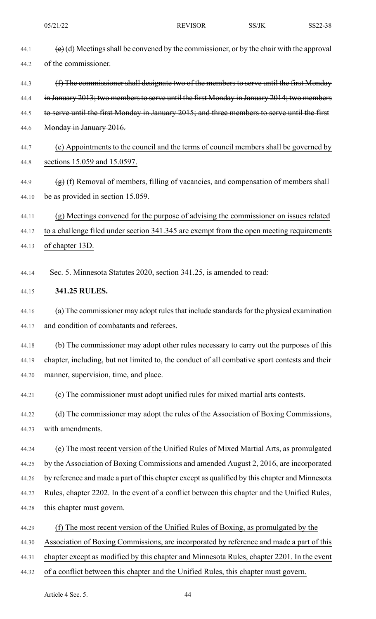|       | 05/21/22                                                                                       | <b>REVISOR</b>                                                                                                   | SS/JK | SS22-38 |
|-------|------------------------------------------------------------------------------------------------|------------------------------------------------------------------------------------------------------------------|-------|---------|
| 44.1  |                                                                                                | $\left(\frac{e}{e}\right)$ (d) Meetings shall be convened by the commissioner, or by the chair with the approval |       |         |
| 44.2  | of the commissioner.                                                                           |                                                                                                                  |       |         |
| 44.3  |                                                                                                | (f) The commissioner shall designate two of the members to serve until the first Monday                          |       |         |
| 44.4  | in January 2013; two members to serve until the first Monday in January 2014; two members      |                                                                                                                  |       |         |
| 44.5  | to serve until the first Monday in January 2015; and three members to serve until the first    |                                                                                                                  |       |         |
| 44.6  | Monday in January 2016.                                                                        |                                                                                                                  |       |         |
| 44.7  |                                                                                                | (e) Appointments to the council and the terms of council members shall be governed by                            |       |         |
| 44.8  | sections 15.059 and 15.0597.                                                                   |                                                                                                                  |       |         |
| 44.9  |                                                                                                | $(g)$ (f) Removal of members, filling of vacancies, and compensation of members shall                            |       |         |
| 44.10 | be as provided in section 15.059.                                                              |                                                                                                                  |       |         |
| 44.11 |                                                                                                | (g) Meetings convened for the purpose of advising the commissioner on issues related                             |       |         |
| 44.12 | to a challenge filed under section 341.345 are exempt from the open meeting requirements       |                                                                                                                  |       |         |
| 44.13 | of chapter 13D.                                                                                |                                                                                                                  |       |         |
|       |                                                                                                |                                                                                                                  |       |         |
| 44.14 |                                                                                                | Sec. 5. Minnesota Statutes 2020, section 341.25, is amended to read:                                             |       |         |
| 44.15 | 341.25 RULES.                                                                                  |                                                                                                                  |       |         |
| 44.16 |                                                                                                | (a) The commissioner may adopt rules that include standards for the physical examination                         |       |         |
| 44.17 | and condition of combatants and referees.                                                      |                                                                                                                  |       |         |
| 44.18 |                                                                                                | (b) The commissioner may adopt other rules necessary to carry out the purposes of this                           |       |         |
| 44.19 | chapter, including, but not limited to, the conduct of all combative sport contests and their  |                                                                                                                  |       |         |
| 44.20 | manner, supervision, time, and place.                                                          |                                                                                                                  |       |         |
| 44.21 |                                                                                                | (c) The commissioner must adopt unified rules for mixed martial arts contests.                                   |       |         |
| 44.22 |                                                                                                | (d) The commissioner may adopt the rules of the Association of Boxing Commissions,                               |       |         |
| 44.23 | with amendments.                                                                               |                                                                                                                  |       |         |
| 44.24 |                                                                                                | (e) The most recent version of the Unified Rules of Mixed Martial Arts, as promulgated                           |       |         |
| 44.25 | by the Association of Boxing Commissions and amended August 2, 2016, are incorporated          |                                                                                                                  |       |         |
| 44.26 | by reference and made a part of this chapter except as qualified by this chapter and Minnesota |                                                                                                                  |       |         |
| 44.27 | Rules, chapter 2202. In the event of a conflict between this chapter and the Unified Rules,    |                                                                                                                  |       |         |
| 44.28 | this chapter must govern.                                                                      |                                                                                                                  |       |         |
| 44.29 |                                                                                                | (f) The most recent version of the Unified Rules of Boxing, as promulgated by the                                |       |         |
| 44.30 | Association of Boxing Commissions, are incorporated by reference and made a part of this       |                                                                                                                  |       |         |
| 44.31 | chapter except as modified by this chapter and Minnesota Rules, chapter 2201. In the event     |                                                                                                                  |       |         |
| 44.32 | of a conflict between this chapter and the Unified Rules, this chapter must govern.            |                                                                                                                  |       |         |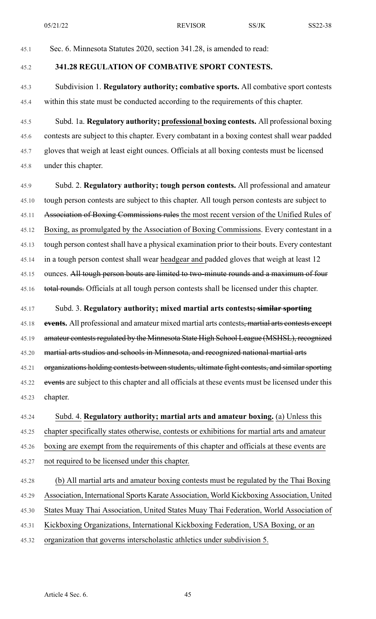45.1 Sec. 6. Minnesota Statutes 2020, section 341.28, is amended to read:

# 45.2 **341.28 REGULATION OF COMBATIVE SPORT CONTESTS.**

45.3 Subdivision 1. **Regulatory authority; combative sports.** All combative sport contests 45.4 within this state must be conducted according to the requirements of this chapter.

45.5 Subd. 1a. **Regulatory authority; professional boxing contests.** All professional boxing 45.6 contests are subject to this chapter. Every combatant in a boxing contest shall wear padded 45.7 gloves that weigh at least eight ounces. Officials at all boxing contests must be licensed 45.8 under this chapter.

45.9 Subd. 2. **Regulatory authority; tough person contests.** All professional and amateur 45.10 tough person contests are subject to this chapter. All tough person contests are subject to 45.11 Association of Boxing Commissions rules the most recent version of the Unified Rules of 45.12 Boxing, as promulgated by the Association of Boxing Commissions. Every contestant in a 45.13 tough person contest shall have a physical examination prior to their bouts. Every contestant 45.14 in a tough person contest shall wear headgear and padded gloves that weigh at least 12 45.15 ounces. All tough person bouts are limited to two-minute rounds and a maximum of four 45.16 total rounds. Officials at all tough person contests shall be licensed under this chapter.

45.17 Subd. 3. **Regulatory authority; mixed martial arts contests; similar sporting** 45.18 **events.** All professional and amateur mixed martial arts contests, martial arts contests except 45.19 amateur contests regulated by the Minnesota State High School League (MSHSL), recognized 45.20 martial arts studios and schools in Minnesota, and recognized national martial arts 45.21 organizations holding contests between students, ultimate fight contests, and similar sporting 45.22 events are subject to this chapter and all officials at these events must be licensed under this 45.23 chapter.

45.24 Subd. 4. **Regulatory authority; martial arts and amateur boxing.** (a) Unless this 45.25 chapter specifically states otherwise, contests or exhibitions for martial arts and amateur 45.26 boxing are exempt from the requirements of this chapter and officials at these events are 45.27 not required to be licensed under this chapter.

- 45.28 (b) All martial arts and amateur boxing contests must be regulated by the Thai Boxing 45.29 Association, International Sports Karate Association, World Kickboxing Association, United 45.30 States Muay Thai Association, United States Muay Thai Federation, World Association of 45.31 Kickboxing Organizations, International Kickboxing Federation, USA Boxing, or an
- 45.32 organization that governs interscholastic athletics under subdivision 5.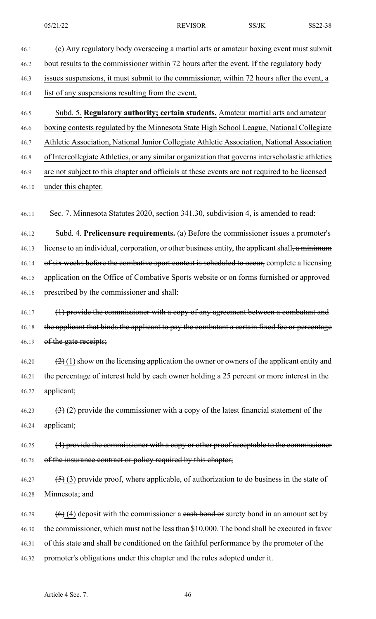46.1 (c) Any regulatory body overseeing a martial arts or amateur boxing event must submit 46.2 bout results to the commissioner within 72 hours after the event. If the regulatory body 46.3 issues suspensions, it must submit to the commissioner, within 72 hours after the event, a 46.4 list of any suspensions resulting from the event. 46.5 Subd. 5. **Regulatory authority; certain students.** Amateur martial arts and amateur 46.6 boxing contests regulated by the Minnesota State High School League, National Collegiate 46.7 Athletic Association, National Junior Collegiate Athletic Association, National Association 46.8 of Intercollegiate Athletics, or any similar organization that governs interscholastic athletics 46.9 are not subject to this chapter and officials at these events are not required to be licensed 46.10 under this chapter. 46.11 Sec. 7. Minnesota Statutes 2020, section 341.30, subdivision 4, is amended to read: 46.12 Subd. 4. **Prelicensure requirements.** (a) Before the commissioner issues a promoter's 46.13 license to an individual, corporation, or other business entity, the applicant shall, a minimum 46.14 of six weeks before the combative sport contest is scheduled to occur, complete a licensing 46.15 application on the Office of Combative Sports website or on forms furnished or approved 46.16 prescribed by the commissioner and shall: 46.17 (1) provide the commissioner with a copy of any agreement between a combatant and 46.18 the applicant that binds the applicant to pay the combatant a certain fixed fee or percentage 46.19 of the gate receipts; 46.20  $\left(2\right)(1)$  show on the licensing application the owner or owners of the applicant entity and 46.21 the percentage of interest held by each owner holding a 25 percent or more interest in the 46.22 applicant; 46.23  $(3)$  (2) provide the commissioner with a copy of the latest financial statement of the 46.24 applicant; 46.25 (4) provide the commissioner with a copy or other proof acceptable to the commissioner 46.26 of the insurance contract or policy required by this chapter; 46.27  $(5)$  (3) provide proof, where applicable, of authorization to do business in the state of 46.28 Minnesota; and 46.29  $(6)$  (4) deposit with the commissioner a eash bond or surety bond in an amount set by 46.30 the commissioner, which must not be lessthan \$10,000. The bond shall be executed in favor 46.31 of this state and shall be conditioned on the faithful performance by the promoter of the 46.32 promoter's obligations under this chapter and the rules adopted under it.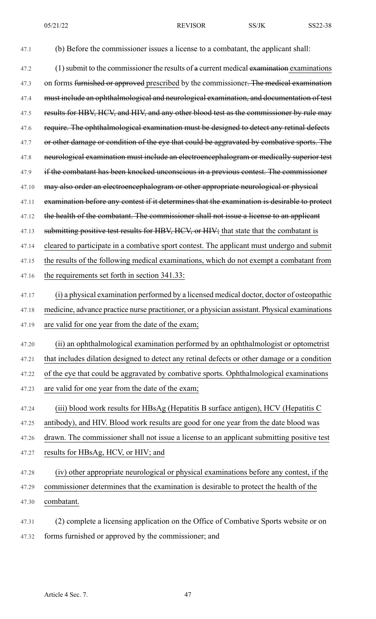47.1 (b) Before the commissioner issues a license to a combatant, the applicant shall:

 $47.2$  (1) submit to the commissioner the results of a current medical examination examinations 47.3 on forms furnished or approved prescribed by the commissioner. The medical examination 47.4 must include an ophthalmological and neurological examination, and documentation of test 47.5 results for HBV, HCV, and HIV, and any other blood test as the commissioner by rule may 47.6 require. The ophthalmological examination must be designed to detect any retinal defects 47.7 or other damage or condition of the eye that could be aggravated by combative sports. The 47.8 neurological examination must include an electroencephalogram or medically superior test 47.9 if the combatant has been knocked unconscious in a previous contest. The commissioner 47.10 may also order an electroencephalogram or other appropriate neurological or physical 47.11 examination before any contest if it determines that the examination is desirable to protect 47.12 the health of the combatant. The commissioner shall not issue a license to an applicant 47.13 submitting positive test results for HBV, HCV, or HIV; that state that the combatant is 47.14 cleared to participate in a combative sport contest. The applicant must undergo and submit 47.15 the results of the following medical examinations, which do not exempt a combatant from 47.16 the requirements set forth in section 341.33: 47.17 (i) a physical examination performed by a licensed medical doctor, doctor of osteopathic 47.18 medicine, advance practice nurse practitioner, or a physician assistant. Physical examinations 47.19 are valid for one year from the date of the exam;

47.20 (ii) an ophthalmological examination performed by an ophthalmologist or optometrist 47.21 that includes dilation designed to detect any retinal defects or other damage or a condition 47.22 of the eye that could be aggravated by combative sports. Ophthalmological examinations 47.23 are valid for one year from the date of the exam;

47.24 (iii) blood work results for HBsAg (Hepatitis B surface antigen), HCV (Hepatitis C

47.25 antibody), and HIV. Blood work results are good for one year from the date blood was

47.26 drawn. The commissioner shall not issue a license to an applicant submitting positive test

47.27 results for HBsAg, HCV, or HIV; and

47.28 (iv) other appropriate neurological or physical examinations before any contest, if the 47.29 commissioner determines that the examination is desirable to protect the health of the 47.30 combatant.

47.31 (2) complete a licensing application on the Office of Combative Sports website or on 47.32 forms furnished or approved by the commissioner; and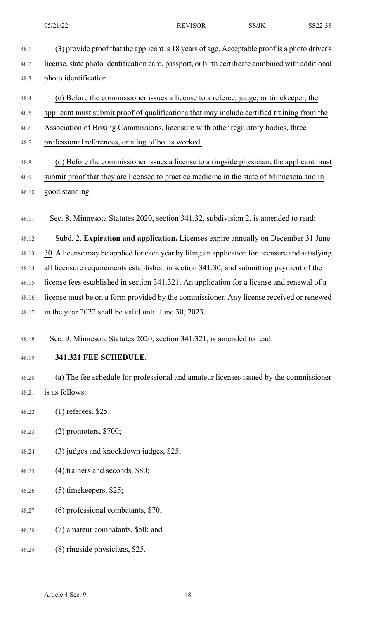- 48.1 (3) provide proof that the applicant is 18 years of age. Acceptable proof is a photo driver's 48.2 license,state photo identification card, passport, or birth certificate combined with additional 48.3 photo identification.
- 48.4 (c) Before the commissioner issues a license to a referee, judge, or timekeeper, the
- 48.5 applicant must submit proof of qualifications that may include certified training from the
- 48.6 Association of Boxing Commissions, licensure with other regulatory bodies, three
- 48.7 professional references, or a log of bouts worked.
- 48.8 (d) Before the commissioner issues a license to a ringside physician, the applicant must 48.9 submit proof that they are licensed to practice medicine in the state of Minnesota and in 48.10 good standing.
- 48.11 Sec. 8. Minnesota Statutes 2020, section 341.32, subdivision 2, is amended to read:
- 48.12 Subd. 2. **Expiration and application.** Licenses expire annually on December 31 June 48.13 30. A license may be applied for each year by filing an application for licensure and satisfying 48.14 all licensure requirements established in section 341.30, and submitting payment of the 48.15 license fees established in section 341.321. An application for a license and renewal of a 48.16 license must be on a form provided by the commissioner. Any license received or renewed 48.17 in the year 2022 shall be valid until June 30, 2023.
- 48.18 Sec. 9. Minnesota Statutes 2020, section 341.321, is amended to read:
- 48.19 **341.321 FEE SCHEDULE.**

48.20 (a) The fee schedule for professional and amateur licenses issued by the commissioner 48.21 is as follows:

- 48.22 (1) referees, \$25;
- 48.23 (2) promoters, \$700;
- 48.24 (3) judges and knockdown judges, \$25;
- 48.25 (4) trainers and seconds, \$80;
- 48.26 (5) timekeepers, \$25;
- 48.27 (6) professional combatants, \$70;
- 48.28 (7) amateur combatants, \$50; and
- 48.29 (8) ringside physicians, \$25.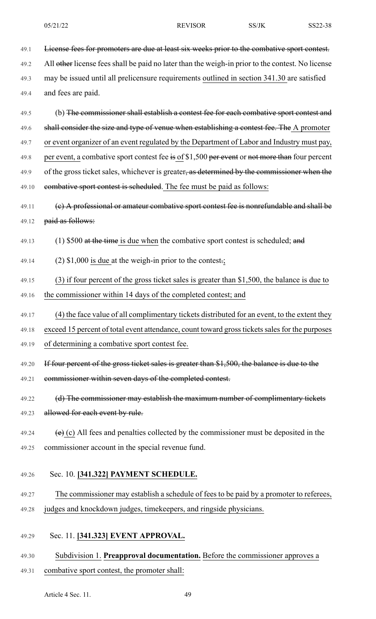49.1 License fees for promoters are due at least six weeks prior to the combative sport contest. 49.2 All other license fees shall be paid no later than the weigh-in prior to the contest. No license 49.3 may be issued until all prelicensure requirements outlined in section 341.30 are satisfied 49.4 and fees are paid.

49.5 (b) The commissioner shall establish a contest fee for each combative sport contest and 49.6 shall consider the size and type of venue when establishing a contest fee. The A promoter 49.7 or event organizer of an event regulated by the Department of Labor and Industry must pay, 49.8 per event, a combative sport contest fee is of \$1,500 per event or not more than four percent 49.9 of the gross ticket sales, whichever is greater, as determined by the commissioner when the 49.10 combative sport contest is scheduled. The fee must be paid as follows:

# 49.11 (c) A professional or amateur combative sport contest fee is nonrefundable and shall be 49.12 paid as follows:

49.13 (1)  $$500$  at the time is due when the combative sport contest is scheduled; and

- 49.14 (2) \$1,000 is due at the weigh-in prior to the contest.;
- 49.15 (3) if four percent of the gross ticket sales is greater than \$1,500, the balance is due to 49.16 the commissioner within 14 days of the completed contest; and
- 49.17 (4) the face value of all complimentary tickets distributed for an event, to the extent they

49.18 exceed 15 percent of total event attendance, count toward gross tickets sales for the purposes

- 49.19 of determining a combative sport contest fee.
- 49.20 If four percent of the gross ticket sales is greater than \$1,500, the balance is due to the
- 49.21 commissioner within seven days of the completed contest.
- 49.22 (d) The commissioner may establish the maximum number of complimentary tickets 49.23 allowed for each event by rule.
- 49.24  $\left(e\right)$  (c) All fees and penalties collected by the commissioner must be deposited in the 49.25 commissioner account in the special revenue fund.

### 49.26 Sec. 10. **[341.322] PAYMENT SCHEDULE.**

# 49.27 The commissioner may establish a schedule of fees to be paid by a promoter to referees, 49.28 judges and knockdown judges, timekeepers, and ringside physicians.

- 49.29 Sec. 11. **[341.323] EVENT APPROVAL.**
- 49.30 Subdivision 1. **Preapproval documentation.** Before the commissioner approves a 49.31 combative sport contest, the promoter shall: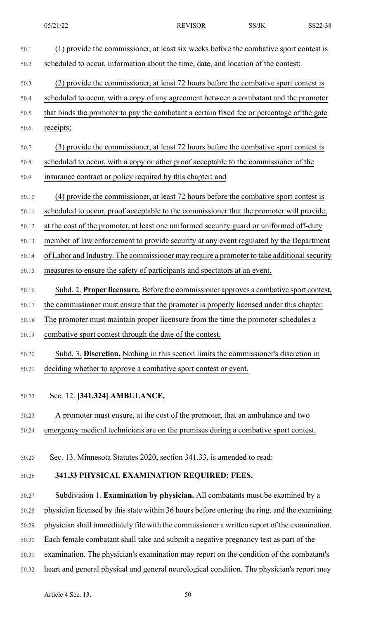| 50.1           | (1) provide the commissioner, at least six weeks before the combative sport contest is       |
|----------------|----------------------------------------------------------------------------------------------|
| 50.2           | scheduled to occur, information about the time, date, and location of the contest;           |
| 50.3           | (2) provide the commissioner, at least 72 hours before the combative sport contest is        |
| 50.4           | scheduled to occur, with a copy of any agreement between a combatant and the promoter        |
| 50.5           | that binds the promoter to pay the combatant a certain fixed fee or percentage of the gate   |
| 50.6           | receipts;                                                                                    |
| 50.7           | (3) provide the commissioner, at least 72 hours before the combative sport contest is        |
| 50.8           | scheduled to occur, with a copy or other proof acceptable to the commissioner of the         |
| 50.9           | insurance contract or policy required by this chapter; and                                   |
| 50.10          | (4) provide the commissioner, at least 72 hours before the combative sport contest is        |
|                | scheduled to occur, proof acceptable to the commissioner that the promoter will provide,     |
| 50.11          | at the cost of the promoter, at least one uniformed security guard or uniformed off-duty     |
| 50.12          | member of law enforcement to provide security at any event regulated by the Department       |
| 50.13<br>50.14 | of Labor and Industry. The commissioner may require a promoter to take additional security   |
|                | measures to ensure the safety of participants and spectators at an event.                    |
| 50.15          |                                                                                              |
| 50.16          | Subd. 2. Proper licensure. Before the commissioner approves a combative sport contest,       |
| 50.17          | the commissioner must ensure that the promoter is properly licensed under this chapter.      |
| 50.18          | The promoter must maintain proper licensure from the time the promoter schedules a           |
| 50.19          | combative sport contest through the date of the contest.                                     |
| 50.20          | Subd. 3. Discretion. Nothing in this section limits the commissioner's discretion in         |
| 50.21          | deciding whether to approve a combative sport contest or event.                              |
|                |                                                                                              |
| 50.22          | Sec. 12. [341.324] AMBULANCE.                                                                |
| 50.23          | A promoter must ensure, at the cost of the promoter, that an ambulance and two               |
| 50.24          | emergency medical technicians are on the premises during a combative sport contest.          |
|                |                                                                                              |
| 50.25          | Sec. 13. Minnesota Statutes 2020, section 341.33, is amended to read:                        |
| 50.26          | 341.33 PHYSICAL EXAMINATION REQUIRED; FEES.                                                  |
| 50.27          | Subdivision 1. Examination by physician. All combatants must be examined by a                |
| 50.28          | physician licensed by this state within 36 hours before entering the ring, and the examining |
| 50.29          | physician shall immediately file with the commissioner a written report of the examination.  |
| 50.30          | Each female combatant shall take and submit a negative pregnancy test as part of the         |
| 50.31          | examination. The physician's examination may report on the condition of the combatant's      |
| 50.32          | heart and general physical and general neurological condition. The physician's report may    |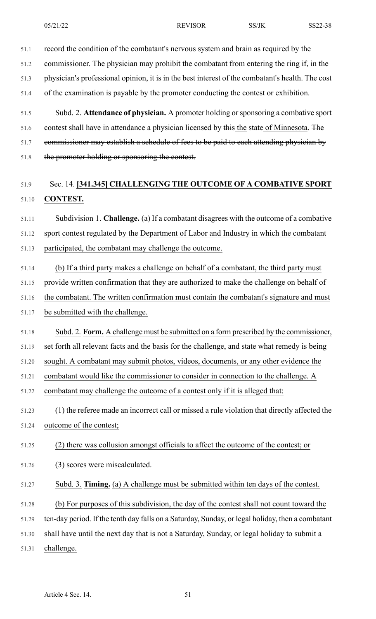51.2 commissioner. The physician may prohibit the combatant from entering the ring if, in the

51.3 physician's professional opinion, it is in the best interest of the combatant's health. The cost

51.4 of the examination is payable by the promoter conducting the contest or exhibition.

51.5 Subd. 2. **Attendance of physician.** A promoter holding orsponsoring a combative sport 51.6 contest shall have in attendance a physician licensed by this the state of Minnesota. The 51.7 commissioner may establish a schedule of fees to be paid to each attending physician by

51.8 the promoter holding or sponsoring the contest.

# 51.9 Sec. 14. **[341.345] CHALLENGING THE OUTCOME OF A COMBATIVE SPORT** 51.10 **CONTEST.**

51.11 Subdivision 1. **Challenge.** (a) If a combatant disagrees with the outcome of a combative

51.12 sport contest regulated by the Department of Labor and Industry in which the combatant

51.13 participated, the combatant may challenge the outcome.

51.14 (b) If a third party makes a challenge on behalf of a combatant, the third party must

51.15 provide written confirmation that they are authorized to make the challenge on behalf of

51.16 the combatant. The written confirmation must contain the combatant's signature and must 51.17 be submitted with the challenge.

51.18 Subd. 2. **Form.** A challenge must be submitted on a form prescribed by the commissioner,

51.19 set forth all relevant facts and the basis for the challenge, and state what remedy is being

51.20 sought. A combatant may submit photos, videos, documents, or any other evidence the

51.21 combatant would like the commissioner to consider in connection to the challenge. A

51.22 combatant may challenge the outcome of a contest only if it is alleged that:

51.23 (1) the referee made an incorrect call or missed a rule violation that directly affected the 51.24 outcome of the contest;

51.25 (2) there was collusion amongst officials to affect the outcome of the contest; or

51.26 (3) scores were miscalculated.

51.27 Subd. 3. **Timing.** (a) A challenge must be submitted within ten days of the contest.

51.28 (b) For purposes of this subdivision, the day of the contest shall not count toward the

51.29 ten-day period. If the tenth day falls on a Saturday, Sunday, or legal holiday, then a combatant

51.30 shall have until the next day that is not a Saturday, Sunday, or legal holiday to submit a

51.31 challenge.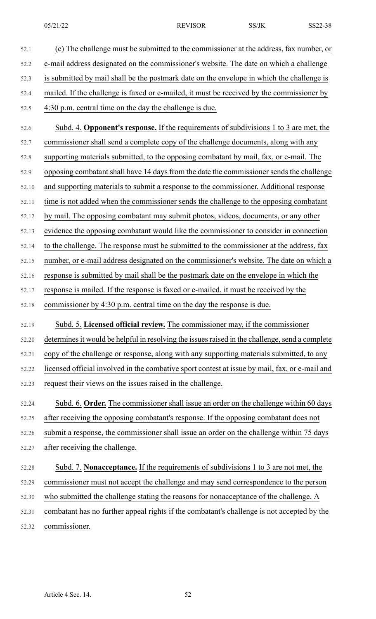52.1 (c) The challenge must be submitted to the commissioner at the address, fax number, or 52.2 e-mail address designated on the commissioner's website. The date on which a challenge 52.3 is submitted by mail shall be the postmark date on the envelope in which the challenge is 52.4 mailed. If the challenge is faxed or e-mailed, it must be received by the commissioner by 52.5 4:30 p.m. central time on the day the challenge is due. 52.6 Subd. 4. **Opponent's response.** If the requirements of subdivisions 1 to 3 are met, the 52.7 commissioner shall send a complete copy of the challenge documents, along with any 52.8 supporting materials submitted, to the opposing combatant by mail, fax, or e-mail. The 52.9 opposing combatant shall have 14 days from the date the commissioner sends the challenge 52.10 and supporting materials to submit a response to the commissioner. Additional response 52.11 time is not added when the commissioner sends the challenge to the opposing combatant 52.12 by mail. The opposing combatant may submit photos, videos, documents, or any other 52.13 evidence the opposing combatant would like the commissioner to consider in connection 52.14 to the challenge. The response must be submitted to the commissioner at the address, fax 52.15 number, or e-mail address designated on the commissioner's website. The date on which a 52.16 response is submitted by mail shall be the postmark date on the envelope in which the 52.17 response is mailed. If the response is faxed or e-mailed, it must be received by the 52.18 commissioner by 4:30 p.m. central time on the day the response is due. 52.19 Subd. 5. **Licensed official review.** The commissioner may, if the commissioner 52.20 determines it would be helpful in resolving the issues raised in the challenge, send a complete 52.21 copy of the challenge or response, along with any supporting materials submitted, to any 52.22 licensed official involved in the combative sport contest at issue by mail, fax, or e-mail and 52.23 request their views on the issues raised in the challenge. 52.24 Subd. 6. **Order.** The commissioner shall issue an order on the challenge within 60 days 52.25 after receiving the opposing combatant's response. If the opposing combatant does not 52.26 submit a response, the commissioner shall issue an order on the challenge within 75 days 52.27 after receiving the challenge. 52.28 Subd. 7. **Nonacceptance.** If the requirements of subdivisions 1 to 3 are not met, the 52.29 commissioner must not accept the challenge and may send correspondence to the person 52.30 who submitted the challenge stating the reasons for nonacceptance of the challenge. A 52.31 combatant has no further appeal rights if the combatant's challenge is not accepted by the 52.32 commissioner.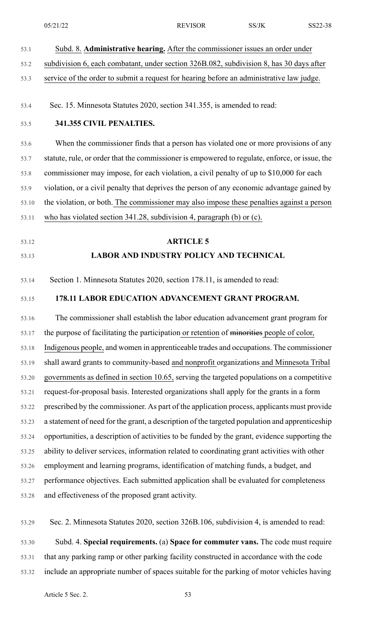|       | 05/21/22                                                                                       | <b>REVISOR</b>                                                                       | SS/JK | SS22-38 |
|-------|------------------------------------------------------------------------------------------------|--------------------------------------------------------------------------------------|-------|---------|
| 53.1  |                                                                                                | Subd. 8. Administrative hearing. After the commissioner issues an order under        |       |         |
| 53.2  | subdivision 6, each combatant, under section 326B.082, subdivision 8, has 30 days after        |                                                                                      |       |         |
| 53.3  | service of the order to submit a request for hearing before an administrative law judge.       |                                                                                      |       |         |
| 53.4  | Sec. 15. Minnesota Statutes 2020, section 341.355, is amended to read:                         |                                                                                      |       |         |
| 53.5  | 341.355 CIVIL PENALTIES.                                                                       |                                                                                      |       |         |
| 53.6  |                                                                                                | When the commissioner finds that a person has violated one or more provisions of any |       |         |
| 53.7  | statute, rule, or order that the commissioner is empowered to regulate, enforce, or issue, the |                                                                                      |       |         |
| 53.8  | commissioner may impose, for each violation, a civil penalty of up to \$10,000 for each        |                                                                                      |       |         |
| 53.9  | violation, or a civil penalty that deprives the person of any economic advantage gained by     |                                                                                      |       |         |
| 53.10 | the violation, or both. The commissioner may also impose these penalties against a person      |                                                                                      |       |         |
| 53.11 | who has violated section 341.28, subdivision 4, paragraph (b) or (c).                          |                                                                                      |       |         |
| 53.12 |                                                                                                | <b>ARTICLE 5</b>                                                                     |       |         |
| 53.13 |                                                                                                | <b>LABOR AND INDUSTRY POLICY AND TECHNICAL</b>                                       |       |         |
| 53.14 | Section 1. Minnesota Statutes 2020, section 178.11, is amended to read:                        |                                                                                      |       |         |
| 53.15 |                                                                                                | 178.11 LABOR EDUCATION ADVANCEMENT GRANT PROGRAM.                                    |       |         |
| 53.16 |                                                                                                | The commissioner shall establish the labor education advancement grant program for   |       |         |
| 53.17 | the purpose of facilitating the participation or retention of minorities people of color,      |                                                                                      |       |         |
| 53.18 | Indigenous people, and women in apprenticeable trades and occupations. The commissioner        |                                                                                      |       |         |
| 53.19 | shall award grants to community-based and nonprofit organizations and Minnesota Tribal         |                                                                                      |       |         |
| 53.20 | governments as defined in section 10.65, serving the targeted populations on a competitive     |                                                                                      |       |         |
| 53.21 | request-for-proposal basis. Interested organizations shall apply for the grants in a form      |                                                                                      |       |         |
| 53.22 | prescribed by the commissioner. As part of the application process, applicants must provide    |                                                                                      |       |         |
| 53.23 | a statement of need for the grant, a description of the targeted population and apprenticeship |                                                                                      |       |         |
| 53.24 | opportunities, a description of activities to be funded by the grant, evidence supporting the  |                                                                                      |       |         |
| 53.25 | ability to deliver services, information related to coordinating grant activities with other   |                                                                                      |       |         |
| 53.26 | employment and learning programs, identification of matching funds, a budget, and              |                                                                                      |       |         |
| 53.27 | performance objectives. Each submitted application shall be evaluated for completeness         |                                                                                      |       |         |
| 53.28 | and effectiveness of the proposed grant activity.                                              |                                                                                      |       |         |
| 53.29 | Sec. 2. Minnesota Statutes 2020, section 326B.106, subdivision 4, is amended to read:          |                                                                                      |       |         |
| 53.30 |                                                                                                | Subd. 4. Special requirements. (a) Space for commuter vans. The code must require    |       |         |
| 53.31 | that any parking ramp or other parking facility constructed in accordance with the code        |                                                                                      |       |         |

53.32 include an appropriate number of spaces suitable for the parking of motor vehicles having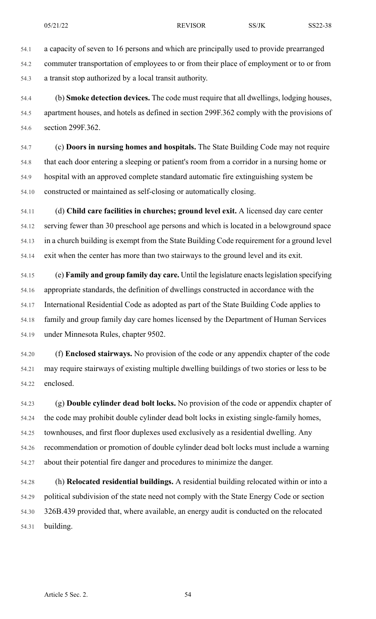54.1 a capacity of seven to 16 persons and which are principally used to provide prearranged 54.2 commuter transportation of employees to or from their place of employment or to or from 54.3 a transit stop authorized by a local transit authority.

54.4 (b) **Smoke detection devices.** The code must require that all dwellings, lodging houses, 54.5 apartment houses, and hotels as defined in section 299F.362 comply with the provisions of 54.6 section 299F.362.

54.7 (c) **Doors in nursing homes and hospitals.** The State Building Code may not require 54.8 that each door entering a sleeping or patient's room from a corridor in a nursing home or 54.9 hospital with an approved complete standard automatic fire extinguishing system be 54.10 constructed or maintained as self-closing or automatically closing.

54.11 (d) **Child care facilities in churches; ground level exit.** A licensed day care center 54.12 serving fewer than 30 preschool age persons and which is located in a belowground space 54.13 in a church building is exempt from the State Building Code requirement for a ground level 54.14 exit when the center has more than two stairways to the ground level and its exit.

54.15 (e) **Family and group family day care.** Until the legislature enactslegislation specifying 54.16 appropriate standards, the definition of dwellings constructed in accordance with the 54.17 International Residential Code as adopted as part of the State Building Code applies to 54.18 family and group family day care homes licensed by the Department of Human Services 54.19 under Minnesota Rules, chapter 9502.

54.20 (f) **Enclosed stairways.** No provision of the code or any appendix chapter of the code 54.21 may require stairways of existing multiple dwelling buildings of two stories or less to be 54.22 enclosed.

54.23 (g) **Double cylinder dead bolt locks.** No provision of the code or appendix chapter of 54.24 the code may prohibit double cylinder dead bolt locks in existing single-family homes, 54.25 townhouses, and first floor duplexes used exclusively as a residential dwelling. Any 54.26 recommendation or promotion of double cylinder dead bolt locks must include a warning 54.27 about their potential fire danger and procedures to minimize the danger.

54.28 (h) **Relocated residential buildings.** A residential building relocated within or into a 54.29 political subdivision of the state need not comply with the State Energy Code or section 54.30 326B.439 provided that, where available, an energy audit is conducted on the relocated 54.31 building.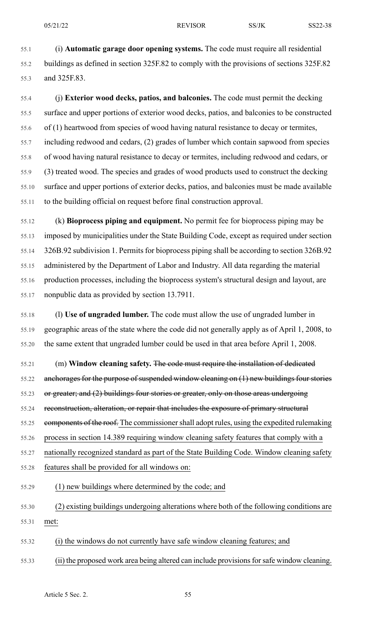55.1 (i) **Automatic garage door opening systems.** The code must require all residential 55.2 buildings as defined in section 325F.82 to comply with the provisions of sections 325F.82 55.3 and 325F.83.

55.4 (j) **Exterior wood decks, patios, and balconies.** The code must permit the decking 55.5 surface and upper portions of exterior wood decks, patios, and balconies to be constructed 55.6 of (1) heartwood from species of wood having natural resistance to decay or termites, 55.7 including redwood and cedars, (2) grades of lumber which contain sapwood from species 55.8 of wood having natural resistance to decay or termites, including redwood and cedars, or 55.9 (3) treated wood. The species and grades of wood products used to construct the decking 55.10 surface and upper portions of exterior decks, patios, and balconies must be made available 55.11 to the building official on request before final construction approval.

55.12 (k) **Bioprocess piping and equipment.** No permit fee for bioprocess piping may be 55.13 imposed by municipalities under the State Building Code, except as required under section 55.14 326B.92 subdivision 1. Permits for bioprocess piping shall be according to section 326B.92 55.15 administered by the Department of Labor and Industry. All data regarding the material 55.16 production processes, including the bioprocess system's structural design and layout, are 55.17 nonpublic data as provided by section 13.7911.

55.18 (l) **Use of ungraded lumber.** The code must allow the use of ungraded lumber in 55.19 geographic areas of the state where the code did not generally apply as of April 1, 2008, to 55.20 the same extent that ungraded lumber could be used in that area before April 1, 2008.

55.21 (m) **Window cleaning safety.** The code must require the installation of dedicated 55.22 anchorages for the purpose of suspended window cleaning on (1) new buildings four stories 55.23 or greater; and (2) buildings four stories or greater, only on those areas undergoing 55.24 reconstruction, alteration, or repair that includes the exposure of primary structural 55.25 components of the roof. The commissioner shall adopt rules, using the expedited rulemaking 55.26 process in section 14.389 requiring window cleaning safety features that comply with a 55.27 nationally recognized standard as part of the State Building Code. Window cleaning safety 55.28 features shall be provided for all windows on:

55.29 (1) new buildings where determined by the code; and

55.30 (2) existing buildings undergoing alterations where both of the following conditions are 55.31 met:

55.32 (i) the windows do not currently have safe window cleaning features; and

55.33 (ii) the proposed work area being altered can include provisionsforsafe window cleaning.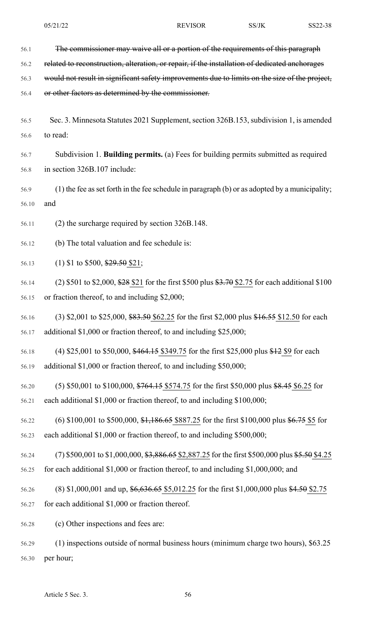56.2 related to reconstruction, alteration, or repair, if the installation of dedicated anchorages

56.3 would not result in significant safety improvements due to limits on the size of the project,

56.4 or other factors as determined by the commissioner.

56.5 Sec. 3. Minnesota Statutes 2021 Supplement, section 326B.153, subdivision 1, is amended 56.6 to read:

56.7 Subdivision 1. **Building permits.** (a) Fees for building permits submitted as required 56.8 in section 326B.107 include:

56.9 (1) the fee asset forth in the fee schedule in paragraph (b) or as adopted by a municipality; 56.10 and

56.11 (2) the surcharge required by section 326B.148.

56.12 (b) The total valuation and fee schedule is:

56.13 (1) \$1 to \$500, \$29.50 \$21;

- 56.14 (2) \$501 to \$2,000, \$28 \$21 for the first \$500 plus \$3.70 \$2.75 for each additional \$100 56.15 or fraction thereof, to and including \$2,000;
- 56.16 (3) \$2,001 to \$25,000, \$83.50 \$62.25 for the first \$2,000 plus \$16.55 \$12.50 for each 56.17 additional \$1,000 or fraction thereof, to and including \$25,000;
- 56.18 (4) \$25,001 to \$50,000, \$464.15 \$349.75 for the first \$25,000 plus \$12 \$9 for each 56.19 additional \$1,000 or fraction thereof, to and including \$50,000;
- 56.20 (5) \$50,001 to \$100,000, \$764.15 \$574.75 for the first \$50,000 plus \$8.45 \$6.25 for 56.21 each additional \$1,000 or fraction thereof, to and including \$100,000;
- 56.22 (6) \$100,001 to \$500,000, \$1,186.65 \$887.25 for the first \$100,000 plus \$6.75 \$5 for 56.23 each additional \$1,000 or fraction thereof, to and including \$500,000;
- 56.24 (7) \$500,001 to \$1,000,000, \$3,886.65 \$2,887.25 for the first \$500,000 plus \$5.50 \$4.25 56.25 for each additional \$1,000 or fraction thereof, to and including \$1,000,000; and
- 56.26 (8) \$1,000,001 and up, \$6,636.65 \$5,012.25 for the first \$1,000,000 plus \$4.50 \$2.75 56.27 for each additional \$1,000 or fraction thereof.

56.28 (c) Other inspections and fees are:

56.29 (1) inspections outside of normal business hours (minimum charge two hours), \$63.25 56.30 per hour;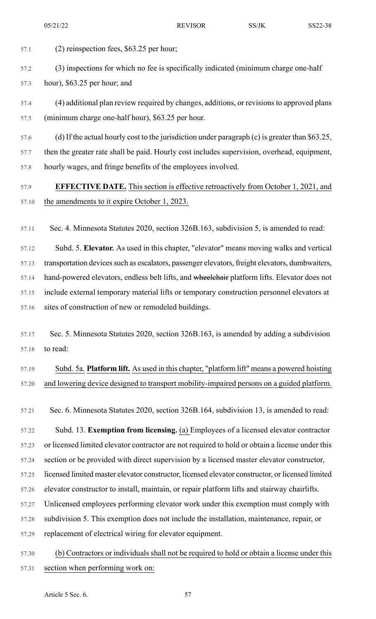- 57.1 (2) reinspection fees, \$63.25 per hour;
- 57.2 (3) inspections for which no fee is specifically indicated (minimum charge one-half
- 57.3 hour), \$63.25 per hour; and
- 57.4 (4) additional plan review required by changes, additions, or revisionsto approved plans 57.5 (minimum charge one-half hour), \$63.25 per hour.
- 57.6 (d) If the actual hourly cost to the jurisdiction under paragraph (c) is greater than \$63.25, 57.7 then the greater rate shall be paid. Hourly cost includes supervision, overhead, equipment,
- 57.9 **EFFECTIVE DATE.** This section is effective retroactively from October 1, 2021, and 57.10 the amendments to it expire October 1, 2023.
- 57.11 Sec. 4. Minnesota Statutes 2020, section 326B.163, subdivision 5, is amended to read:
- 57.12 Subd. 5. **Elevator.** As used in this chapter, "elevator" means moving walks and vertical
- 57.13 transportation devices such as escalators, passenger elevators, freight elevators, dumbwaiters,
- 57.14 hand-powered elevators, endless belt lifts, and wheelchair platform lifts. Elevator does not 57.15 include external temporary material lifts or temporary construction personnel elevators at
- 57.16 sites of construction of new or remodeled buildings.

57.8 hourly wages, and fringe benefits of the employees involved.

- 57.17 Sec. 5. Minnesota Statutes 2020, section 326B.163, is amended by adding a subdivision 57.18 to read:
- 57.19 Subd. 5a. **Platform lift.** As used in this chapter, "platform lift" means a powered hoisting 57.20 and lowering device designed to transport mobility-impaired persons on a guided platform.
- 57.21 Sec. 6. Minnesota Statutes 2020, section 326B.164, subdivision 13, is amended to read:
- 57.22 Subd. 13. **Exemption from licensing.** (a) Employees of a licensed elevator contractor 57.23 or licensed limited elevator contractor are not required to hold or obtain a license under this 57.24 section or be provided with direct supervision by a licensed master elevator constructor, 57.25 licensed limited master elevator constructor, licensed elevator constructor, or licensed limited 57.26 elevator constructor to install, maintain, or repair platform lifts and stairway chairlifts. 57.27 Unlicensed employees performing elevator work under this exemption must comply with 57.28 subdivision 5. This exemption does not include the installation, maintenance, repair, or 57.29 replacement of electrical wiring for elevator equipment.
- 57.30 (b) Contractors or individuals shall not be required to hold or obtain a license under this 57.31 section when performing work on: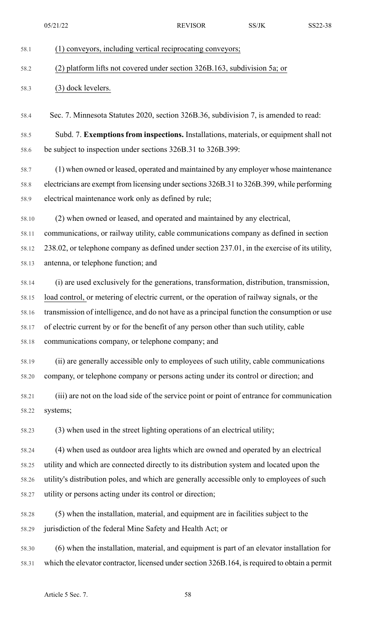## 58.1 (1) conveyors, including vertical reciprocating conveyors;

## 58.2 (2) platform lifts not covered under section 326B.163, subdivision 5a; or

## 58.3 (3) dock levelers.

- 58.4 Sec. 7. Minnesota Statutes 2020, section 326B.36, subdivision 7, is amended to read:
- 58.5 Subd. 7. **Exemptions from inspections.** Installations, materials, or equipment shall not 58.6 be subject to inspection under sections 326B.31 to 326B.399:

58.7 (1) when owned or leased, operated and maintained by any employer whose maintenance 58.8 electricians are exempt from licensing undersections 326B.31 to 326B.399, while performing 58.9 electrical maintenance work only as defined by rule;

58.10 (2) when owned or leased, and operated and maintained by any electrical,

58.11 communications, or railway utility, cable communications company as defined in section 58.12 238.02, or telephone company as defined under section 237.01, in the exercise of its utility, 58.13 antenna, or telephone function; and

58.14 (i) are used exclusively for the generations, transformation, distribution, transmission, 58.15 load control, or metering of electric current, or the operation of railway signals, or the 58.16 transmission of intelligence, and do not have as a principal function the consumption or use 58.17 of electric current by or for the benefit of any person other than such utility, cable 58.18 communications company, or telephone company; and

58.19 (ii) are generally accessible only to employees of such utility, cable communications 58.20 company, or telephone company or persons acting under its control or direction; and

58.21 (iii) are not on the load side of the service point or point of entrance for communication 58.22 systems;

58.23 (3) when used in the street lighting operations of an electrical utility;

58.24 (4) when used as outdoor area lights which are owned and operated by an electrical 58.25 utility and which are connected directly to its distribution system and located upon the 58.26 utility's distribution poles, and which are generally accessible only to employees of such 58.27 utility or persons acting under its control or direction;

58.28 (5) when the installation, material, and equipment are in facilities subject to the 58.29 jurisdiction of the federal Mine Safety and Health Act; or

58.30 (6) when the installation, material, and equipment is part of an elevator installation for 58.31 which the elevator contractor, licensed undersection 326B.164, isrequired to obtain a permit